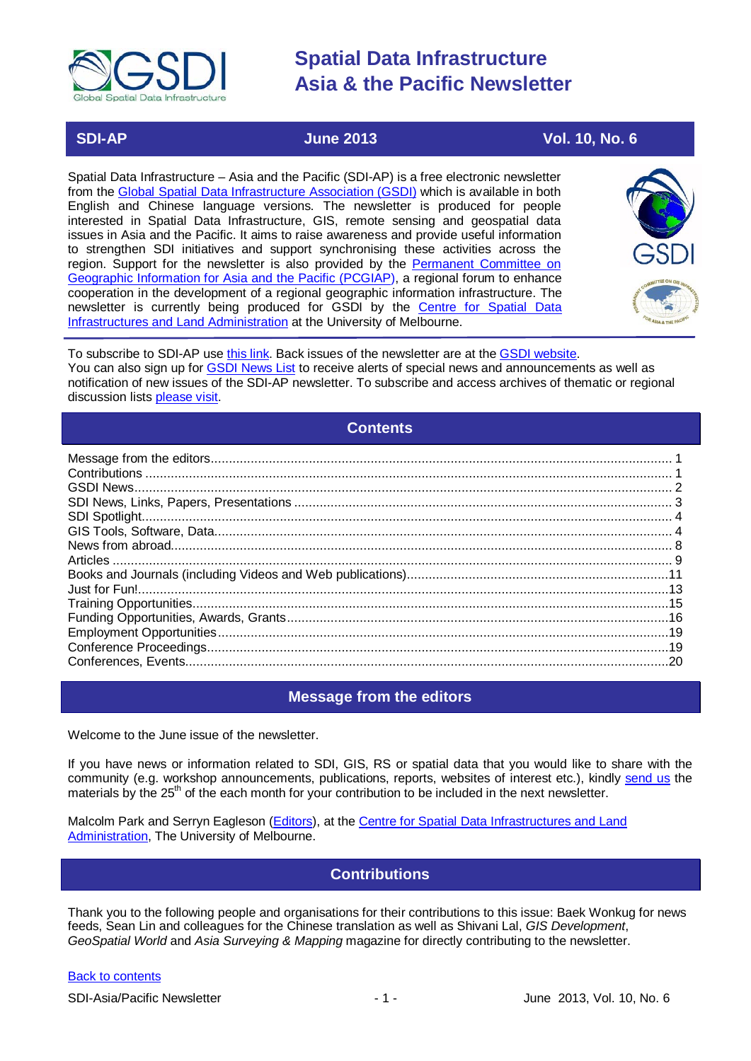

### **SDI-AP June 2013 Vol. 10, No. 6**

Spatial Data Infrastructure – Asia and the Pacific (SDI-AP) is a free electronic newsletter from the [Global Spatial Data Infrastructure Association \(GSDI\)](http://www.gsdi.org/) which is available in both English and Chinese language versions. The newsletter is produced for people interested in Spatial Data Infrastructure, GIS, remote sensing and geospatial data issues in Asia and the Pacific. It aims to raise awareness and provide useful information to strengthen SDI initiatives and support synchronising these activities across the region. Support for the newsletter is also provided by the Permanent Committee on [Geographic Information for Asia and the Pacific \(PCGIAP\)](http://www.pcgiap.org/), a regional forum to enhance cooperation in the development of a regional geographic information infrastructure. The newsletter is currently being produced for GSDI by the [Centre for Spatial Data](http://www.csdila.unimelb.edu.au/)  [Infrastructures and Land Administration](http://www.csdila.unimelb.edu.au/) at the University of Melbourne.



To subscribe to SDI-AP use [this link.](http://www.gsdi.org/newslist/gsdisubscribe.asp) Back issues of the newsletter are at the [GSDI website.](http://www.gsdi.org/newsletters.asp) You can also sign up for [GSDI News List](http://www.gsdi.org/newslist/gsdisubscribe.asp) to receive alerts of special news and announcements as well as notification of new issues of the SDI-AP newsletter. To subscribe and access archives of thematic or regional discussion lists [please visit.](http://www.gsdi.org/discussionlists.asp)

### **Contents**

<span id="page-0-0"></span>

### **Message from the editors**

<span id="page-0-1"></span>Welcome to the June issue of the newsletter.

If you have news or information related to SDI, GIS, RS or spatial data that you would like to share with the community (e.g. workshop announcements, publications, reports, websites of interest etc.), kindly [send us](mailto:.SDI-AP@gsdi.org) the materials by the 25<sup>th</sup> of the each month for your contribution to be included in the next newsletter.

<span id="page-0-2"></span>Malcolm Park and Serryn Eagleson [\(Editors\)](mailto:Editor.SDIAP@gmail.com), at the [Centre for Spatial Data Infrastructures and Land](http://www.csdila.unimelb.edu.au/)  [Administration,](http://www.csdila.unimelb.edu.au/) The University of Melbourne.

### **Contributions**

Thank you to the following people and organisations for their contributions to this issue: Baek Wonkug for news feeds, Sean Lin and colleagues for the Chinese translation as well as Shivani Lal, *GIS Development*, *GeoSpatial World* and *Asia Surveying & Mapping* magazine for directly contributing to the newsletter.

#### [Back to contents](#page-0-0)

SDI-Asia/Pacific Newsletter 1 1 - 1 - 1 - June 2013, Vol. 10, No. 6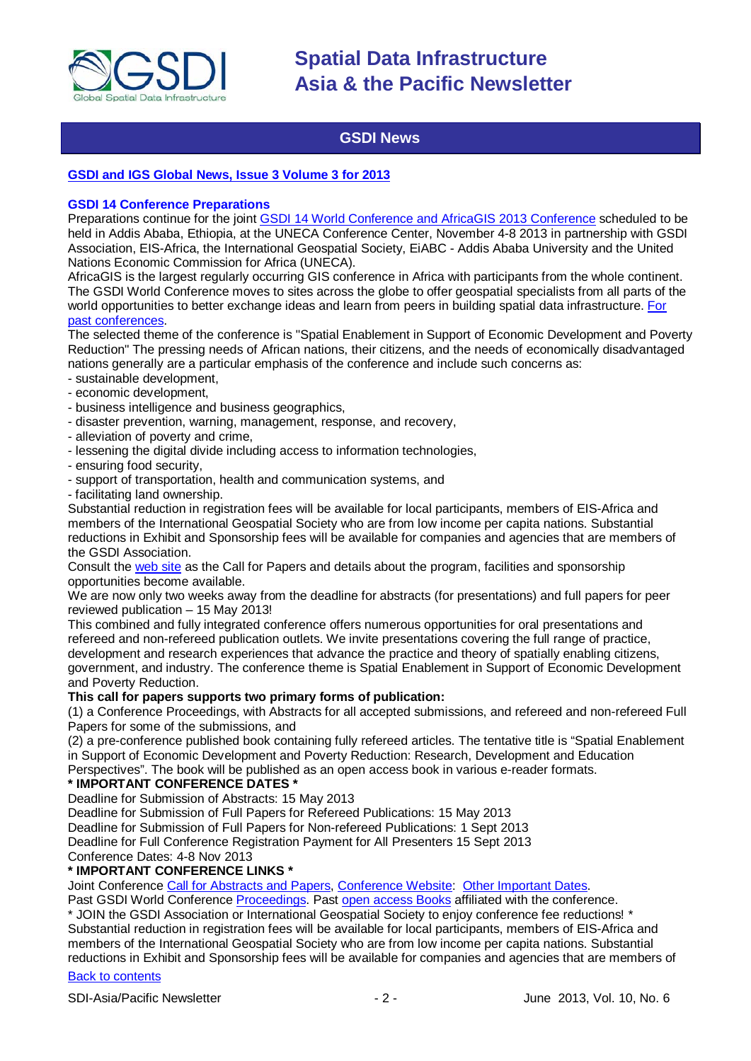

### **GSDI News**

#### <span id="page-1-0"></span>**GSDI and IGS Global [News, Issue 3 Volume 3 for 2013](http://www.gsdi.org/newsletters#GSDI)**

#### **GSDI 14 Conference Preparations**

Preparations continue for the joint [GSDI 14 World Conference and AfricaGIS 2013 Conference](http://www.gsdi.org/gsdi14) scheduled to be held in Addis Ababa, Ethiopia, at the UNECA Conference Center, November 4-8 2013 in partnership with GSDI Association, EIS-Africa, the International Geospatial Society, EiABC - Addis Ababa University and the United Nations Economic Commission for Africa (UNECA).

AfricaGIS is the largest regularly occurring GIS conference in Africa with participants from the whole continent. The GSDI World Conference moves to sites across the globe to offer geospatial specialists from all parts of the world opportunities to better exchange ideas and learn from peers in building spatial data infrastructure. [For](http://www.gsdi.org/gsdiConferences)  [past conferences.](http://www.gsdi.org/gsdiConferences)

The selected theme of the conference is "Spatial Enablement in Support of Economic Development and Poverty Reduction" The pressing needs of African nations, their citizens, and the needs of economically disadvantaged nations generally are a particular emphasis of the conference and include such concerns as:

- sustainable development,
- economic development,
- business intelligence and business geographics,
- disaster prevention, warning, management, response, and recovery,
- alleviation of poverty and crime,
- lessening the digital divide including access to information technologies,
- ensuring food security,
- support of transportation, health and communication systems, and
- facilitating land ownership.

Substantial reduction in registration fees will be available for local participants, members of EIS-Africa and members of the International Geospatial Society who are from low income per capita nations. Substantial reductions in Exhibit and Sponsorship fees will be available for companies and agencies that are members of the GSDI Association.

Consult the [web site](http://gsdi.org/gsdi14) as the Call for Papers and details about the program, facilities and sponsorship opportunities become available.

We are now only two weeks away from the deadline for abstracts (for presentations) and full papers for peer reviewed publication – 15 May 2013!

This combined and fully integrated conference offers numerous opportunities for oral presentations and refereed and non-refereed publication outlets. We invite presentations covering the full range of practice, development and research experiences that advance the practice and theory of spatially enabling citizens, government, and industry. The conference theme is Spatial Enablement in Support of Economic Development and Poverty Reduction.

#### **This call for papers supports two primary forms of publication:**

(1) a Conference Proceedings, with Abstracts for all accepted submissions, and refereed and non-refereed Full Papers for some of the submissions, and

(2) a pre-conference published book containing fully refereed articles. The tentative title is "Spatial Enablement in Support of Economic Development and Poverty Reduction: Research, Development and Education Perspectives". The book will be published as an open access book in various e-reader formats.

#### **\* IMPORTANT CONFERENCE DATES \***

Deadline for Submission of Abstracts: 15 May 2013

Deadline for Submission of Full Papers for Refereed Publications: 15 May 2013

Deadline for Submission of Full Papers for Non-refereed Publications: 1 Sept 2013

Deadline for Full Conference Registration Payment for All Presenters 15 Sept 2013

Conference Dates: 4-8 Nov 2013

#### **\* IMPORTANT CONFERENCE LINKS \***

Joint Conference [Call for Abstracts and Papers,](http://www.gsdi.org/gsdiconf/gsdi14/papercall.html) [Conference Website:](http://www.gsdi.org/gsdi14) [Other Important Dates.](http://www.gsdi.org/gsdiconf/gsdi14/dates.html)

Past GSDI World Conference [Proceedings.](http://www.gsdi.org/gsdiConferences) Past [open access Books](http://www.gsdi.org/openaccessbooks) affiliated with the conference.

\* JOIN the GSDI Association or International Geospatial Society to enjoy conference fee reductions! \* Substantial reduction in registration fees will be available for local participants, members of EIS-Africa and members of the International Geospatial Society who are from low income per capita nations. Substantial reductions in Exhibit and Sponsorship fees will be available for companies and agencies that are members of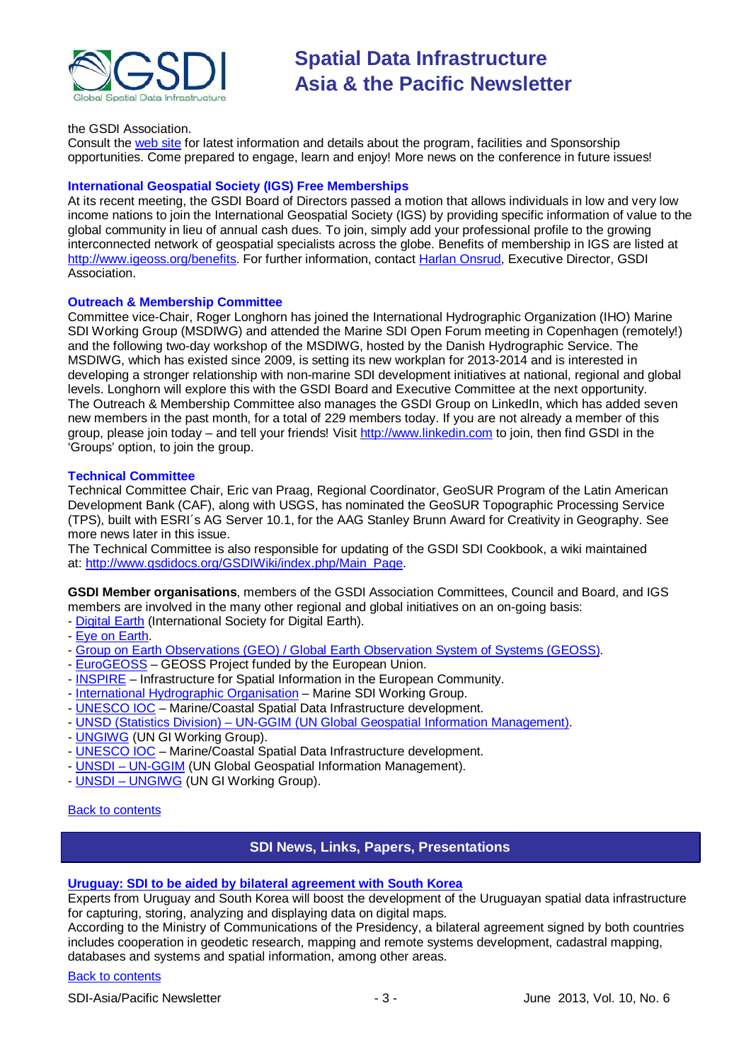

#### the GSDI Association.

Consult the [web site](http://gsdi.org/gsdi14/) for latest information and details about the program, facilities and Sponsorship opportunities. Come prepared to engage, learn and enjoy! More news on the conference in future issues!

#### **International Geospatial Society (IGS) Free Memberships**

At its recent meeting, the GSDI Board of Directors passed a motion that allows individuals in low and very low income nations to join the International Geospatial Society (IGS) by providing specific information of value to the global community in lieu of annual cash dues. To join, simply add your professional profile to the growing interconnected network of geospatial specialists across the globe. Benefits of membership in IGS are listed at [http://www.igeoss.org/benefits.](https://owa.unimelb.edu.au/owa/redir.aspx?C=54c2b4d3973d480282dc7c38384f4204&URL=http%3a%2f%2fwww.igeoss.org%2fbenefits) For further information, contact [Harlan Onsrud,](mailto:onsrud@gsdi.org) Executive Director, GSDI Association.

#### **Outreach & Membership Committee**

Committee vice-Chair, Roger Longhorn has joined the International Hydrographic Organization (IHO) Marine SDI Working Group (MSDIWG) and attended the Marine SDI Open Forum meeting in Copenhagen (remotely!) and the following two-day workshop of the MSDIWG, hosted by the Danish Hydrographic Service. The MSDIWG, which has existed since 2009, is setting its new workplan for 2013-2014 and is interested in developing a stronger relationship with non-marine SDI development initiatives at national, regional and global levels. Longhorn will explore this with the GSDI Board and Executive Committee at the next opportunity. The Outreach & Membership Committee also manages the GSDI Group on LinkedIn, which has added seven new members in the past month, for a total of 229 members today. If you are not already a member of this group, please join today – and tell your friends! Visit [http://www.linkedin.com](https://owa.unimelb.edu.au/owa/redir.aspx?C=rDg2dzQe3UKfwin28aspI4dcf2EJ4c8IKc_jDEPg91nlCdVQBzUX28or6ioXGu07OXWheK19Jyk.&URL=http%3a%2f%2fwww.linkedin.com) to join, then find GSDI in the 'Groups' option, to join the group.

#### **Technical Committee**

Technical Committee Chair, Eric van Praag, Regional Coordinator, GeoSUR Program of the Latin American Development Bank (CAF), along with USGS, has nominated the GeoSUR Topographic Processing Service (TPS), built with ESRI´s AG Server 10.1, for the AAG Stanley Brunn Award for Creativity in Geography. See more news later in this issue.

The Technical Committee is also responsible for updating of the GSDI SDI Cookbook, a wiki maintained at: [http://www.gsdidocs.org/GSDIWiki/index.php/Main\\_Page.](https://owa.unimelb.edu.au/owa/redir.aspx?C=rDg2dzQe3UKfwin28aspI4dcf2EJ4c8IKc_jDEPg91nlCdVQBzUX28or6ioXGu07OXWheK19Jyk.&URL=http%3a%2f%2fwww.gsdidocs.org%2fGSDIWiki%2findex.php%2fMain_Page)

**GSDI Member organisations**, members of the GSDI Association Committees, Council and Board, and IGS members are involved in the many other regional and global initiatives on an on-going basis:

- [Digital Earth](http://www.digitalearth-isde.org/) (International Society for Digital Earth).
- [Eye on Earth.](http://www.eyeonearth.org/)
- [Group on Earth Observations \(GEO\) / Global Earth Observation System of Systems \(GEOSS\).](http://www.earthobservations.org/)
- [EuroGEOSS](http://www.eurogeoss.eu/default.aspx) GEOSS Project funded by the European Union.
- [INSPIRE](http://www.inspire.jrc.ec.europa.eu/) Infrastructure for Spatial Information in the European Community.
- [International Hydrographic Organisation](http://www.iho.int/) Marine SDI Working Group.
- [UNESCO IOC](http://www.iode.org/) Marine/Coastal Spatial Data Infrastructure development.
- UNSD (Statistics Division) [UN-GGIM \(UN Global Geospatial Information Management\).](http://www.ggim.un.org/)
- [UNGIWG](http://www.ungiwg.org/) (UN GI Working Group).
- [UNESCO IOC](http://www.iode.org/) Marine/Coastal Spatial Data Infrastructure development.
- UNSDI [UN-GGIM](http://www.ggim.un.org/) (UN Global Geospatial Information Management).
- UNSDI [UNGIWG](http://www.ungiwg.org/) (UN GI Working Group).

#### <span id="page-2-0"></span>[Back to contents](#page-0-0)

#### **SDI News, Links, Papers, Presentations**

#### **[Uruguay: SDI to be aided by bilateral agreement with South Korea](http://www.plenglish.com/index.php?option=com_content&task=view&id=1387921&Itemid=1)**

Experts from Uruguay and South Korea will boost the development of the Uruguayan spatial data infrastructure for capturing, storing, analyzing and displaying data on digital maps.

According to the Ministry of Communications of the Presidency, a bilateral agreement signed by both countries includes cooperation in geodetic research, mapping and remote systems development, cadastral mapping, databases and systems and spatial information, among other areas.

#### [Back to contents](#page-0-0)

SDI-Asia/Pacific Newsletter 1992 12:3 - 3 - SDI-Asia/Pacific Newsletter 1992 13:3 - June 2013, Vol. 10, No. 6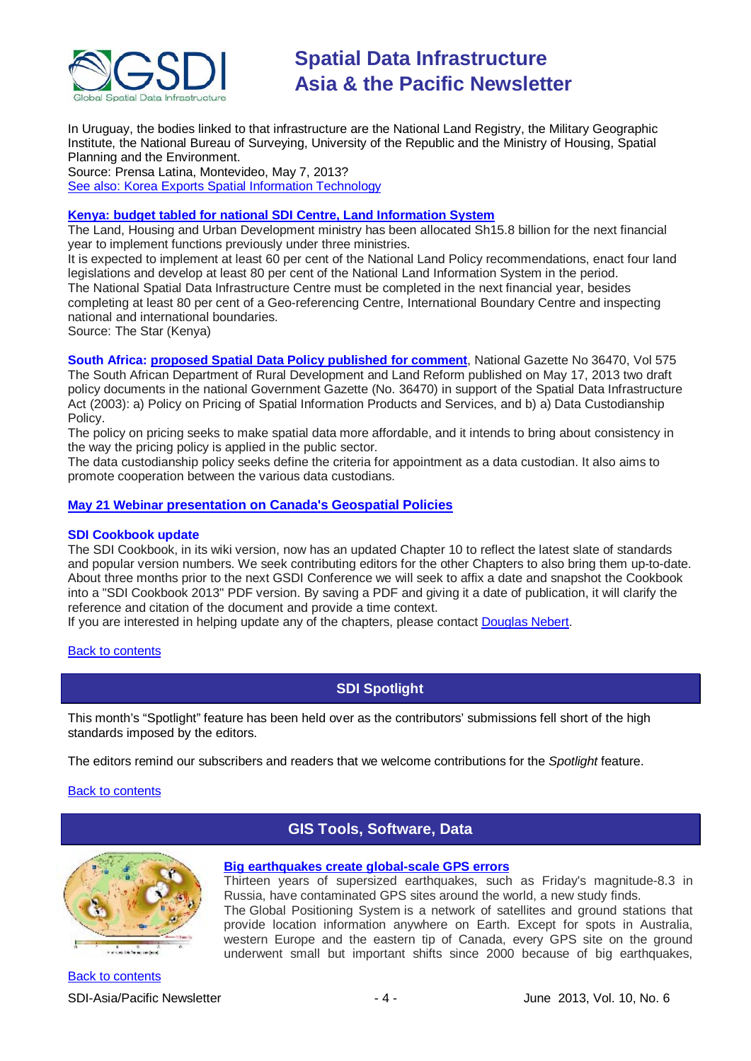

In Uruguay, the bodies linked to that infrastructure are the National Land Registry, the Military Geographic Institute, the National Bureau of Surveying, University of the Republic and the Ministry of Housing, Spatial Planning and the Environment.

Source: Prensa Latina, Montevideo, May 7, 2013? [See also: Korea Exports Spatial Information Technology](http://english.etnews.com/computing/2616394_1301.html)

#### **[Kenya: budget tabled for national SDI Centre, Land Information System](http://www.the-star.co.ke/news/article-119623/land-housing-and-urban-development-gets-sh158bn)**

The Land, Housing and Urban Development ministry has been allocated Sh15.8 billion for the next financial year to implement functions previously under three ministries.

It is expected to implement at least 60 per cent of the National Land Policy recommendations, enact four land legislations and develop at least 80 per cent of the National Land Information System in the period. The National Spatial Data Infrastructure Centre must be completed in the next financial year, besides completing at least 80 per cent of a Geo-referencing Centre, International Boundary Centre and inspecting national and international boundaries.

Source: The Star (Kenya)

**South Africa: [proposed Spatial Data Policy published for comment](http://www.info.gov.za/view/DownloadFileAction?id=190308)**, National Gazette No 36470, Vol 575 The South African Department of Rural Development and Land Reform published on May 17, 2013 two draft policy documents in the national Government Gazette (No. 36470) in support of the Spatial Data Infrastructure Act (2003): a) Policy on Pricing of Spatial Information Products and Services, and b) a) Data Custodianship Policy.

The policy on pricing seeks to make spatial data more affordable, and it intends to bring about consistency in the way the pricing policy is applied in the public sector.

The data custodianship policy seeks define the criteria for appointment as a data custodian. It also aims to promote cooperation between the various data custodians.

#### **May 21 Webinar [presentation on Canada's Geospatial Policies](https://docs.google.com/viewer?a=v&pid=gmail&attid=0.1&thid=13ed41449b38902f&mt=application/pdf&url=https://mail.google.com/mail/ca/u/0/?ui%3D2%26ik%3Dbf32a9097f%26view%3Datt%26th%3D13ed41449b38902f%26attid%3D0.1%26disp%3Dsafe%26zw&sig=AHIEtbQW1CMVW9E8N5ew)**

#### **SDI Cookbook update**

The SDI Cookbook, in its wiki version, now has an updated Chapter 10 to reflect the latest slate of standards and popular version numbers. We seek contributing editors for the other Chapters to also bring them up-to-date. About three months prior to the next GSDI Conference we will seek to affix a date and snapshot the Cookbook into a "SDI Cookbook 2013" PDF version. By saving a PDF and giving it a date of publication, it will clarify the reference and citation of the document and provide a time context.

If you are interested in helping update any of the chapters, please contact [Douglas Nebert.](mailto:ddnebert@usgs.gov)

#### <span id="page-3-0"></span>**[Back to contents](#page-0-0)**

### **SDI Spotlight**

This month's "Spotlight" feature has been held over as the contributors' submissions fell short of the high standards imposed by the editors.

The editors remind our subscribers and readers that we welcome contributions for the *Spotlight* feature.

#### <span id="page-3-1"></span>**[Back to contents](#page-0-0)**



### **GIS Tools, Software, Data**

**[Big earthquakes create global-scale GPS errors](http://science.nbcnews.com/_news/2013/05/24/18471920-big-earthquakes-create-global-scale-gps-errors?lite)** Thirteen years of supersized earthquakes, such as Friday's magnitude-8.3 in Russia, have contaminated GPS sites around the world, a new study finds. The Global Positioning System is a network of satellites and ground stations that

provide location information anywhere on Earth. Except for spots in Australia, western Europe and the eastern tip of Canada, every GPS site on the ground underwent small but important shifts since 2000 because of big earthquakes,

[Back to contents](#page-0-0) SDI-Asia/Pacific Newsletter  $\begin{array}{ccc} -4 \\ -4 \end{array}$  -  $\begin{array}{ccc} -4 \\ -4 \end{array}$  June 2013, Vol. 10, No. 6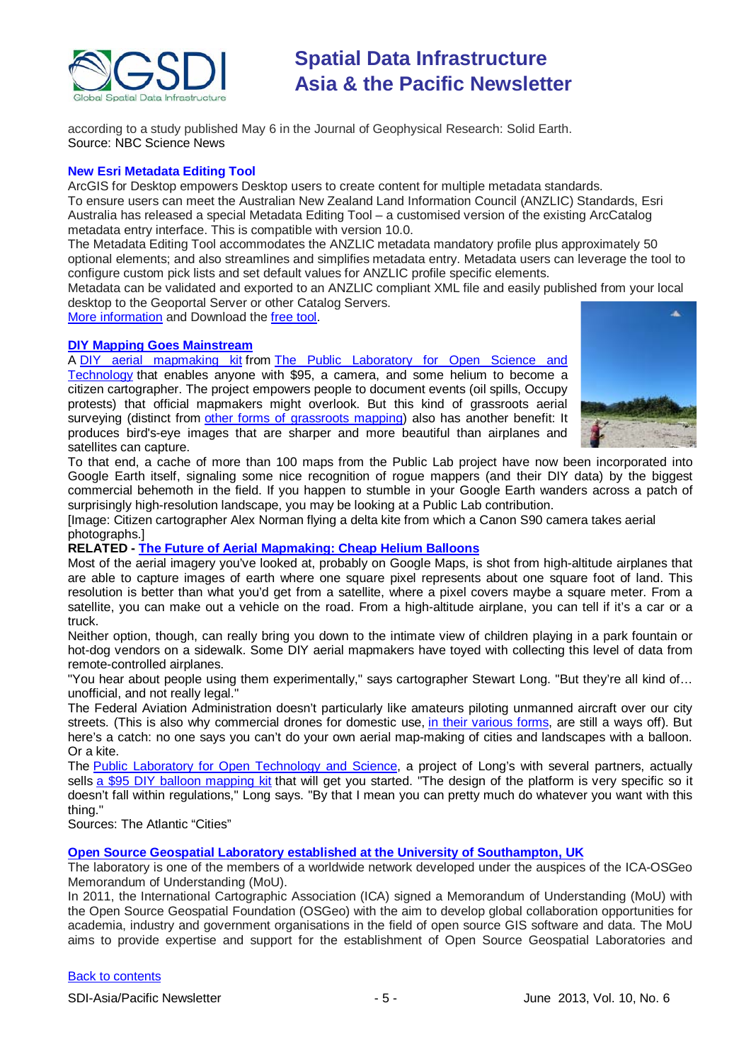

according to a study published May 6 in the Journal of Geophysical Research: Solid Earth. Source: NBC Science News

### **New Esri Metadata Editing Tool**

ArcGIS for Desktop empowers Desktop users to create content for multiple metadata standards. To ensure users can meet the Australian New Zealand Land Information Council (ANZLIC) Standards, Esri Australia has released a special Metadata Editing Tool – a customised version of the existing ArcCatalog metadata entry interface. This is compatible with version 10.0.

The Metadata Editing Tool accommodates the ANZLIC metadata mandatory profile plus approximately 50 optional elements; and also streamlines and simplifies metadata entry. Metadata users can leverage the tool to configure custom pick lists and set default values for ANZLIC profile specific elements.

Metadata can be validated and exported to an ANZLIC compliant XML file and easily published from your local desktop to the Geoportal Server or other Catalog Servers.

[More information](http://esriaustralia.com.au/products-metadata-editing-tool) and Download the [free tool.](http://esriaustralia.com.au/u/lib/public/ANZLIC_Final_20121008.zip)

#### **[DIY Mapping Goes Mainstream](http://www.theatlanticcities.com/technology/2013/05/diy-mapping-goes-mainstream/5446/)**

A [DIY aerial mapmaking kit](http://www.theatlanticcities.com/technology/2012/08/future-aerial-mapmaking-cheap-helium-balloons/3108/) from [The Public Laboratory for Open Science and](http://publiclaboratory.org/home)  [Technology](http://publiclaboratory.org/home) that enables anyone with \$95, a camera, and some helium to become a citizen cartographer. The project empowers people to document events (oil spills, Occupy protests) that official mapmakers might overlook. But this kind of grassroots aerial surveying (distinct from [other forms of grassroots mapping\)](http://www.theatlanticcities.com/commute/2013/03/mapping-growth-openstreetmap/4982/) also has another benefit: It produces bird's-eye images that are sharper and more beautiful than airplanes and satellites can capture.



To that end, a cache of more than 100 maps from the Public Lab project have now been incorporated into Google Earth itself, signaling some nice recognition of rogue mappers (and their DIY data) by the biggest commercial behemoth in the field. If you happen to stumble in your Google Earth wanders across a patch of surprisingly high-resolution landscape, you may be looking at a Public Lab contribution.

[Image: Citizen cartographer Alex Norman flying a delta kite from which a Canon S90 camera takes aerial photographs.]

#### **RELATED - [The Future of Aerial Mapmaking: Cheap Helium Balloons](http://www.theatlanticcities.com/technology/2012/08/future-aerial-mapmaking-cheap-helium-balloons/3108/)**

Most of the aerial imagery you've looked at, probably on Google Maps, is shot from high-altitude airplanes that are able to capture images of earth where one square pixel represents about one square foot of land. This resolution is better than what you'd get from a satellite, where a pixel covers maybe a square meter. From a satellite, you can make out a vehicle on the road. From a high-altitude airplane, you can tell if it's a car or a truck.

Neither option, though, can really bring you down to the intimate view of children playing in a park fountain or hot-dog vendors on a sidewalk. Some DIY aerial mapmakers have toyed with collecting this level of data from remote-controlled airplanes.

"You hear about people using them experimentally," says cartographer Stewart Long. "But they're all kind of… unofficial, and not really legal."

The Federal Aviation Administration doesn't particularly like amateurs piloting unmanned aircraft over our city streets. (This is also why commercial drones for domestic use, [in their various forms,](http://www.theatlanticcities.com/technology/2012/03/sad-truth-about-food-delivering-robots/1606/) are still a ways off). But here's a catch: no one says you can't do your own aerial map-making of cities and landscapes with a balloon. Or a kite.

The [Public Laboratory for Open Technology and Science,](http://publiclaboratory.org/home) a project of Long's with several partners, actually sells [a \\$95 DIY balloon mapping kit](http://shop.breadpig.com/collections/publiclaboratory/products/balloon-mapping-kit) that will get you started. "The design of the platform is very specific so it doesn't fall within regulations," Long says. "By that I mean you can pretty much do whatever you want with this thing."

Sources: The Atlantic "Cities"

**[Open Source Geospatial Laboratory established at the University of Southampton, UK](http://www.osgeo.org/node/1355)**

The laboratory is one of the members of a worldwide network developed under the auspices of the ICA-OSGeo Memorandum of Understanding (MoU).

In 2011, the International Cartographic Association (ICA) signed a Memorandum of Understanding (MoU) with the Open Source Geospatial Foundation (OSGeo) with the aim to develop global collaboration opportunities for academia, industry and government organisations in the field of open source GIS software and data. The MoU aims to provide expertise and support for the establishment of Open Source Geospatial Laboratories and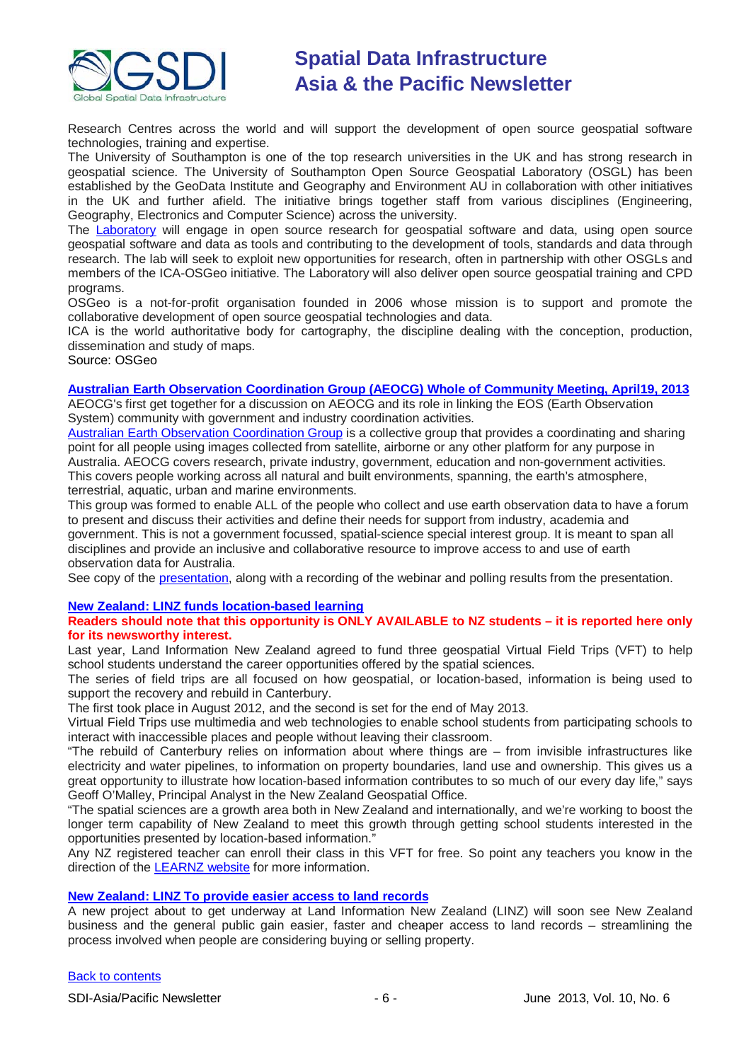

Research Centres across the world and will support the development of open source geospatial software technologies, training and expertise.

The University of Southampton is one of the top research universities in the UK and has strong research in geospatial science. The University of Southampton Open Source Geospatial Laboratory (OSGL) has been established by the GeoData Institute and Geography and Environment AU in collaboration with other initiatives in the UK and further afield. The initiative brings together staff from various disciplines (Engineering, Geography, Electronics and Computer Science) across the university.

The [Laboratory](http://www.osgl.soton.ac.uk/) will engage in open source research for geospatial software and data, using open source geospatial software and data as tools and contributing to the development of tools, standards and data through research. The lab will seek to exploit new opportunities for research, often in partnership with other OSGLs and members of the ICA-OSGeo initiative. The Laboratory will also deliver open source geospatial training and CPD programs.

OSGeo is a not-for-profit organisation founded in 2006 whose mission is to support and promote the collaborative development of open source geospatial technologies and data.

ICA is the world authoritative body for cartography, the discipline dealing with the conception, production, dissemination and study of maps.

Source: OSGeo

#### **[Australian Earth Observation Coordination Group \(AEOCG\) Whole of Community Meeting, April19, 2013](http://www.aeocg.org.au/index.php/meetings/meetings-forums-documentation)**

AEOCG's first get together for a discussion on AEOCG and its role in linking the EOS (Earth Observation System) community with government and industry coordination activities.

[Australian Earth Observation Coordination Group](http://www.aeocg.org.au/) is a collective group that provides a coordinating and sharing point for all people using images collected from satellite, airborne or any other platform for any purpose in Australia. AEOCG covers research, private industry, government, education and non-government activities. This covers people working across all natural and built environments, spanning, the earth's atmosphere, terrestrial, aquatic, urban and marine environments.

This group was formed to enable ALL of the people who collect and use earth observation data to have a forum to present and discuss their activities and define their needs for support from industry, academia and government. This is not a government focussed, spatial-science special interest group. It is meant to span all disciplines and provide an inclusive and collaborative resource to improve access to and use of earth observation data for Australia.

See copy of the **presentation**, along with a recording of the webinar and polling results from the presentation.

#### **[New Zealand: LINZ funds location-based learning](http://www.linz.govt.nz/about-linz/news-publications-and-consultations/news-and-notices/linz-funds-location-based-learning)**

#### **Readers should note that this opportunity is ONLY AVAILABLE to NZ students – it is reported here only for its newsworthy interest.**

Last year, Land Information New Zealand agreed to fund three geospatial Virtual Field Trips (VFT) to help school students understand the career opportunities offered by the spatial sciences.

The series of field trips are all focused on how geospatial, or location-based, information is being used to support the recovery and rebuild in Canterbury.

The first took place in August 2012, and the second is set for the end of May 2013.

Virtual Field Trips use multimedia and web technologies to enable school students from participating schools to interact with inaccessible places and people without leaving their classroom.

"The rebuild of Canterbury relies on information about where things are – from invisible infrastructures like electricity and water pipelines, to information on property boundaries, land use and ownership. This gives us a great opportunity to illustrate how location-based information contributes to so much of our every day life," says Geoff O'Malley, Principal Analyst in the New Zealand Geospatial Office.

"The spatial sciences are a growth area both in New Zealand and internationally, and we're working to boost the longer term capability of New Zealand to meet this growth through getting school students interested in the opportunities presented by location-based information."

Any NZ registered teacher can enroll their class in this VFT for free. So point any teachers you know in the direction of the [LEARNZ website](http://www.learnz.org.nz/) for more information.

#### **[New Zealand: LINZ To provide easier access to land records](http://www.linz.govt.nz/about-linz/news-publications-and-consultations/news-and-notices/linz-to-provide-easier-access-to-land-records)**

A new project about to get underway at Land Information New Zealand (LINZ) will soon see New Zealand business and the general public gain easier, faster and cheaper access to land records – streamlining the process involved when people are considering buying or selling property.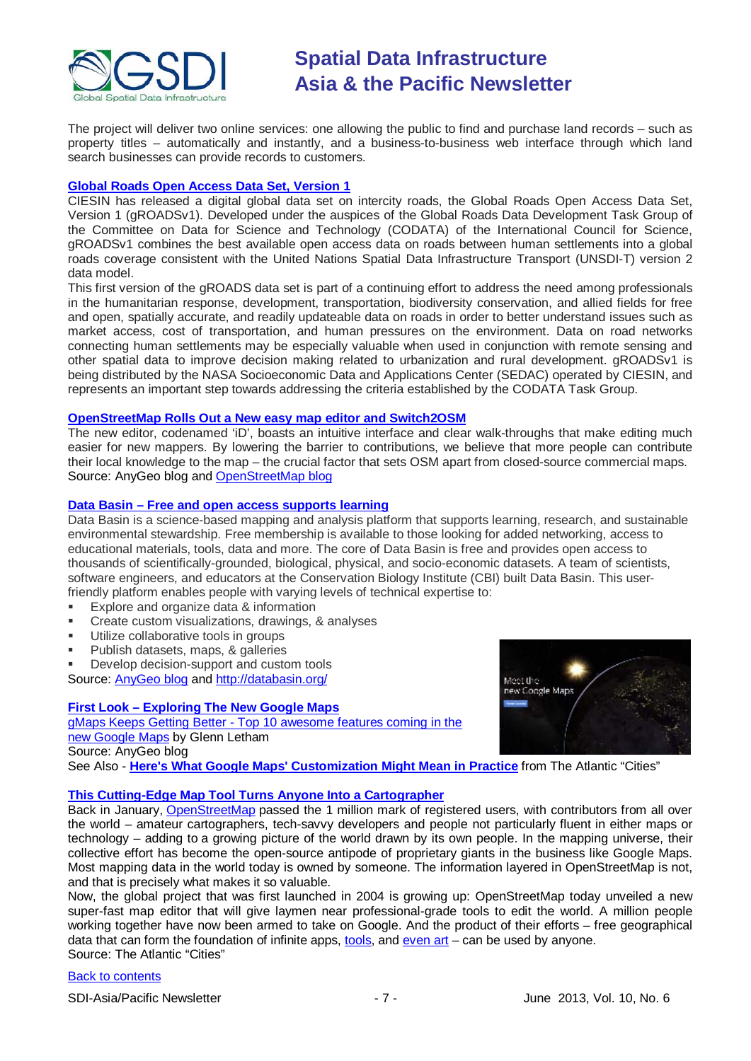

The project will deliver two online services: one allowing the public to find and purchase land records – such as property titles – automatically and instantly, and a business-to-business web interface through which land search businesses can provide records to customers.

#### **[Global Roads Open Access Data Set, Version 1](http://sedac.ciesin.columbia.edu/data/set/groads-global-roads-open-access-v1)**

CIESIN has released a digital global data set on intercity roads, the Global Roads Open Access Data Set, Version 1 (gROADSv1). Developed under the auspices of the Global Roads Data Development Task Group of the Committee on Data for Science and Technology (CODATA) of the International Council for Science, gROADSv1 combines the best available open access data on roads between human settlements into a global roads coverage consistent with the United Nations Spatial Data Infrastructure Transport (UNSDI-T) version 2 data model.

This first version of the gROADS data set is part of a continuing effort to address the need among professionals in the humanitarian response, development, transportation, biodiversity conservation, and allied fields for free and open, spatially accurate, and readily updateable data on roads in order to better understand issues such as market access, cost of transportation, and human pressures on the environment. Data on road networks connecting human settlements may be especially valuable when used in conjunction with remote sensing and other spatial data to improve decision making related to urbanization and rural development. gROADSv1 is being distributed by the NASA Socioeconomic Data and Applications Center (SEDAC) operated by CIESIN, and represents an important step towards addressing the criteria established by the CODATA Task Group.

#### **[OpenStreetMap Rolls Out a New easy map editor and Switch2OSM](http://blog.gisuser.com/2013/05/07/openstreetmap-rolls-out-a-new-easy-map-editor-and-switch2osm/)**

The new editor, codenamed 'iD', boasts an intuitive interface and clear walk-throughs that make editing much easier for new mappers. By lowering the barrier to contributions, we believe that more people can contribute their local knowledge to the map – the crucial factor that sets OSM apart from closed-source commercial maps. Source: AnyGeo blog and [OpenStreetMap blog](http://blog.openstreetmap.org/2013/05/07/openstreetmap-launches-all-new-easy-map-editor-and-announces-funding-appeal/)

#### **Data Basin – [Free and open access supports learning](http://databasin.org/)**

Data Basin is a science-based mapping and analysis platform that supports learning, research, and sustainable environmental stewardship. Free membership is available to those looking for added networking, access to educational materials, tools, data and more. The core of Data Basin is free and provides open access to thousands of scientifically-grounded, biological, physical, and socio-economic datasets. A team of scientists, software engineers, and educators at the Conservation Biology Institute (CBI) built Data Basin. This userfriendly platform enables people with varying levels of technical expertise to:

- Explore and organize data & information
- Create custom visualizations, drawings, & analyses
- **Utilize collaborative tools in groups**
- **Publish datasets, maps, & galleries**

**Develop decision-support and custom tools** 

Source: [AnyGeo blog](http://blog.gisuser.com/2013/05/02/data-basin-free-and-open-access-supports-learning/) and<http://databasin.org/>

#### **First Look – [Exploring The New Google Maps](http://blog.gisuser.com/2013/05/16/first-look-exploring-the-new-google-maps/)**

gMaps Keeps Getting Better - [Top 10 awesome features coming in the](http://www.gisuser.com/content/view/29949/222/)  [new Google Maps](http://www.gisuser.com/content/view/29949/222/) by Glenn Letham Source: AnyGeo blog



See Also - **[Here's What Google Maps' Customization Might Mean in Practice](http://www.theatlanticcities.com/technology/2013/05/public-space-danger-new-google-maps/5736/)** from The Atlantic "Cities"

#### **[This Cutting-Edge Map Tool Turns Anyone Into a Cartographer](http://www.theatlanticcities.com/technology/2013/05/cutting-edge-map-tool-turns-anyone-cartographer/5510/)**

Back in January, [OpenStreetMap](http://www.openstreetmap.org/) passed the 1 million mark of registered users, with contributors from all over the world – amateur cartographers, tech-savvy developers and people not particularly fluent in either maps or technology – adding to a growing picture of the world drawn by its own people. In the mapping universe, their collective effort has become the open-source antipode of proprietary giants in the business like Google Maps. Most mapping data in the world today is owned by someone. The information layered in OpenStreetMap is not, and that is precisely what makes it so valuable.

Now, the global project that was first launched in 2004 is growing up: OpenStreetMap today unveiled a new super-fast map editor that will give laymen near professional-grade tools to edit the world. A million people working together have now been armed to take on Google. And the product of their efforts – free geographical data that can form the foundation of infinite apps, [tools,](http://opentripplanner.com/) and [even art](http://www.theatlanticcities.com/commute/2013/03/animated-allegory-american-citys-addiction-oil/5111/) – can be used by anyone. Source: The Atlantic "Cities"

#### [Back to contents](#page-0-0)

SDI-Asia/Pacific Newsletter  $\begin{array}{ccc} -7 - 7 - 7 - 1 \end{array}$  June 2013, Vol. 10, No. 6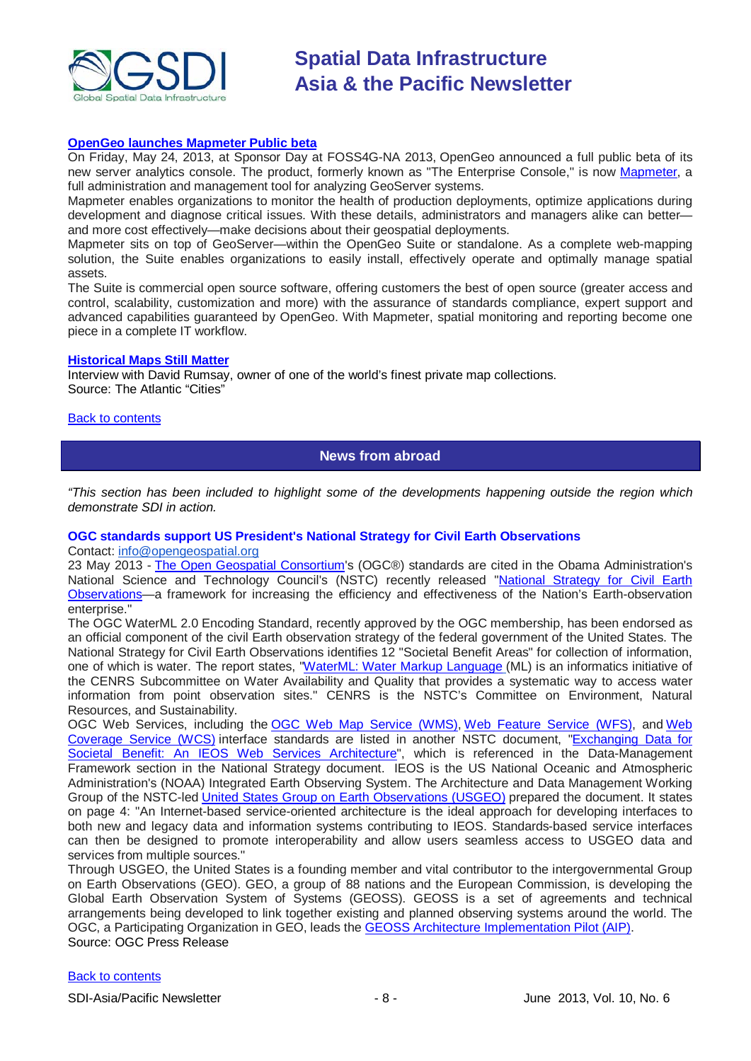

#### **[OpenGeo launches Mapmeter Public beta](http://opengeo.org/about/media/20130522-mapmeter/)**

On Friday, May 24, 2013, at Sponsor Day at FOSS4G-NA 2013, OpenGeo announced a full public beta of its new server analytics console. The product, formerly known as "The Enterprise Console," is now [Mapmeter,](http://mapmeter.com/) a full administration and management tool for analyzing GeoServer systems.

Mapmeter enables organizations to monitor the health of production deployments, optimize applications during development and diagnose critical issues. With these details, administrators and managers alike can better and more cost effectively—make decisions about their geospatial deployments.

Mapmeter sits on top of GeoServer—within the OpenGeo Suite or standalone. As a complete web-mapping solution, the Suite enables organizations to easily install, effectively operate and optimally manage spatial assets.

The Suite is commercial open source software, offering customers the best of open source (greater access and control, scalability, customization and more) with the assurance of standards compliance, expert support and advanced capabilities guaranteed by OpenGeo. With Mapmeter, spatial monitoring and reporting become one piece in a complete IT workflow.

#### **[Historical Maps Still Matter](http://www.theatlanticcities.com/technology/2013/05/why-historical-maps-still-matter-so-much-today/5537/)**

Interview with David Rumsay, owner of one of the world's finest private map collections. Source: The Atlantic "Cities"

<span id="page-7-0"></span>**[Back to contents](#page-0-0)** 

### **News from abroad**

*"This section has been included to highlight some of the developments happening outside the region which demonstrate SDI in action.*

#### **OGC standards support US President's National Strategy for Civil Earth Observations**

Contact: [info@opengeospatial.org](mailto:info@opengeospatial.org)

23 May 2013 - [The Open Geospatial Consortium's](http://www.opengeospatial.org/) (OGC®) standards are cited in the Obama Administration's National Science and Technology Council's (NSTC) recently released ["National Strategy for Civil Earth](http://www.whitehouse.gov/sites/default/files/microsites/ostp/nstc_2013_earthobsstrategy.pdf)  [Observations—](http://www.whitehouse.gov/sites/default/files/microsites/ostp/nstc_2013_earthobsstrategy.pdf)a framework for increasing the efficiency and effectiveness of the Nation's Earth-observation enterprise."

The OGC WaterML 2.0 Encoding Standard, recently approved by the OGC membership, has been endorsed as an official component of the civil Earth observation strategy of the federal government of the United States. The National Strategy for Civil Earth Observations identifies 12 "Societal Benefit Areas" for collection of information, one of which is water. The report states, ["WaterML: Water Markup Language](http://www.opengeospatial.org/standards/waterml) (ML) is an informatics initiative of the CENRS Subcommittee on Water Availability and Quality that provides a systematic way to access water information from point observation sites." CENRS is the NSTC's Committee on Environment, Natural Resources, and Sustainability.

OGC Web Services, including the [OGC Web Map Service \(WMS\),](http://www.opengeospatial.org/standards/wms) [Web Feature Service \(WFS\),](http://www.opengeospatial.org/standards/wfs) and [Web](http://www.opengeospatial.org/standards/wcs)  [Coverage Service \(WCS\)](http://www.opengeospatial.org/standards/wcs) interface standards are listed in another NSTC document, ["Exchanging Data for](http://usgeo.gov/images/USGEOMain/exchangingdataforsocietalbenefit.pdf)  [Societal Benefit: An IEOS Web Services Architecture"](http://usgeo.gov/images/USGEOMain/exchangingdataforsocietalbenefit.pdf), which is referenced in the Data-Management Framework section in the National Strategy document. IEOS is the US National Oceanic and Atmospheric Administration's (NOAA) Integrated Earth Observing System. The Architecture and Data Management Working Group of the NSTC-led [United States Group on Earth Observations \(USGEO\)](http://usgeo.gov/) prepared the document. It states on page 4: "An Internet-based service-oriented architecture is the ideal approach for developing interfaces to both new and legacy data and information systems contributing to IEOS. Standards-based service interfaces can then be designed to promote interoperability and allow users seamless access to USGEO data and services from multiple sources."

Through USGEO, the United States is a founding member and vital contributor to the intergovernmental Group on Earth Observations (GEO). GEO, a group of 88 nations and the European Commission, is developing the Global Earth Observation System of Systems (GEOSS). GEOSS is a set of agreements and technical arrangements being developed to link together existing and planned observing systems around the world. The OGC, a Participating Organization in GEO, leads the [GEOSS Architecture Implementation Pilot \(AIP\).](http://www.ogcnetwork.net/AIpilot) Source: OGC Press Release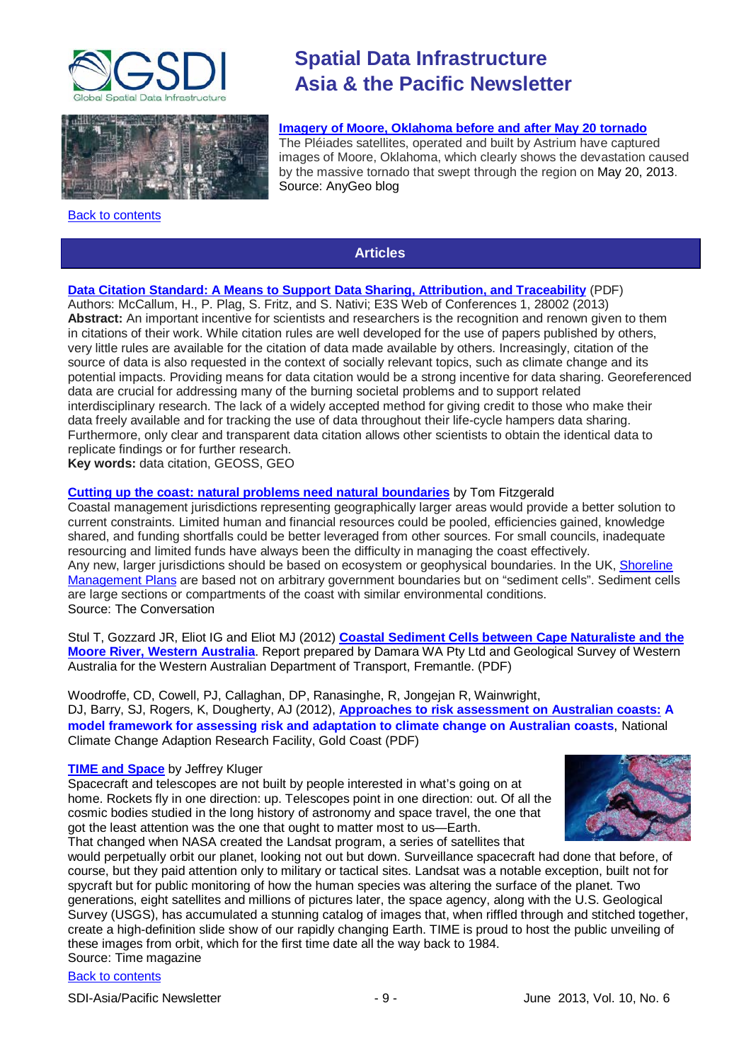



<span id="page-8-0"></span>[Back to contents](#page-0-0)

# **Spatial Data Infrastructure Asia & the Pacific Newsletter**

#### **[Imagery of Moore, Oklahoma before and after May 20 tornado](http://blog.gisuser.com/2013/05/23/imagery-of-moore-oklahoma-before-and-after-may-20-tornado/)**

The Pléiades satellites, operated and built by Astrium have captured images of Moore, Oklahoma, which clearly shows the devastation caused by the massive tornado that swept through the region on May 20, 2013. Source: AnyGeo blog

### **Articles**

### **[Data Citation Standard: A Means to Support Data Sharing, Attribution, and Traceability](http://www.e3s-conferences.org/index.php?option=com_article&access=standard&Itemid=129&url=/articles/e3sconf/pdf/2013/01/e3sconf_ichm13_28002.pdf)** (PDF)

Authors: McCallum, H., P. Plag, S. Fritz, and S. Nativi; E3S Web of Conferences 1, 28002 (2013) **Abstract:** An important incentive for scientists and researchers is the recognition and renown given to them in citations of their work. While citation rules are well developed for the use of papers published by others, very little rules are available for the citation of data made available by others. Increasingly, citation of the source of data is also requested in the context of socially relevant topics, such as climate change and its potential impacts. Providing means for data citation would be a strong incentive for data sharing. Georeferenced data are crucial for addressing many of the burning societal problems and to support related interdisciplinary research. The lack of a widely accepted method for giving credit to those who make their data freely available and for tracking the use of data throughout their life-cycle hampers data sharing. Furthermore, only clear and transparent data citation allows other scientists to obtain the identical data to replicate findings or for further research.

**Key words:** data citation, GEOSS, GEO

#### **[Cutting up the coast: natural problems need natural](http://theconversation.com/cutting-up-the-coast-natural-problems-need-natural-boundaries-12447) boundaries** by Tom Fitzgerald

Coastal management jurisdictions representing geographically larger areas would provide a better solution to current constraints. Limited human and financial resources could be pooled, efficiencies gained, knowledge shared, and funding shortfalls could be better leveraged from other sources. For small councils, inadequate resourcing and limited funds have always been the difficulty in managing the coast effectively. Any new, larger jurisdictions should be based on ecosystem or geophysical boundaries. In the UK, Shoreline [Management Plans](http://www.defra.gov.uk/publications/2011/06/10/pb11726-shoreline-guidance/) are based not on arbitrary government boundaries but on "sediment cells". Sediment cells are large sections or compartments of the coast with similar environmental conditions. Source: The Conversation

Stul T, Gozzard JR, Eliot IG and Eliot MJ (2012) **[Coastal Sediment Cells between Cape Naturaliste and the](http://www.transport.wa.gov.au/mediaFiles/mar_CoastalSedimentCells_web.pdf)  [Moore River, Western Australia](http://www.transport.wa.gov.au/mediaFiles/mar_CoastalSedimentCells_web.pdf)**. Report prepared by Damara WA Pty Ltd and Geological Survey of Western Australia for the Western Australian Department of Transport, Fremantle. (PDF)

Woodroffe, CD, Cowell, PJ, Callaghan, DP, Ranasinghe, R, Jongejan R, Wainwright, DJ, Barry, SJ, Rogers, K, Dougherty, AJ (2012), **[Approaches to risk assessment on Australian coasts:](http://www.nccarf.edu.au/sites/default/files/attached_files_publications/FinalReport_ApproachesToRiskAssessmentOnAustralianCoasts_LowRes_forweb_0.pdf) A model framework for assessing risk and adaptation to climate change on Australian coasts**, National Climate Change Adaption Research Facility, Gold Coast (PDF)

#### **[TIME and Space](http://world.time.com/timelapse/)** by Jeffrey Kluger

Spacecraft and telescopes are not built by people interested in what's going on at home. Rockets fly in one direction: up. Telescopes point in one direction: out. Of all the cosmic bodies studied in the long history of astronomy and space travel, the one that got the least attention was the one that ought to matter most to us-Earth. That changed when NASA created the Landsat program, a series of satellites that



would perpetually orbit our planet, looking not out but down. Surveillance spacecraft had done that before, of course, but they paid attention only to military or tactical sites. Landsat was a notable exception, built not for spycraft but for public monitoring of how the human species was altering the surface of the planet. Two generations, eight satellites and millions of pictures later, the space agency, along with the U.S. Geological Survey (USGS), has accumulated a stunning catalog of images that, when riffled through and stitched together, create a high-definition slide show of our rapidly changing Earth. TIME is proud to host the public unveiling of these images from orbit, which for the first time date all the way back to 1984.

Source: Time magazine

### [Back to contents](#page-0-0)

SDI-Asia/Pacific Newsletter  $\begin{array}{ccc} -9 \\ - \end{array}$  - 9 - June 2013, Vol. 10, No. 6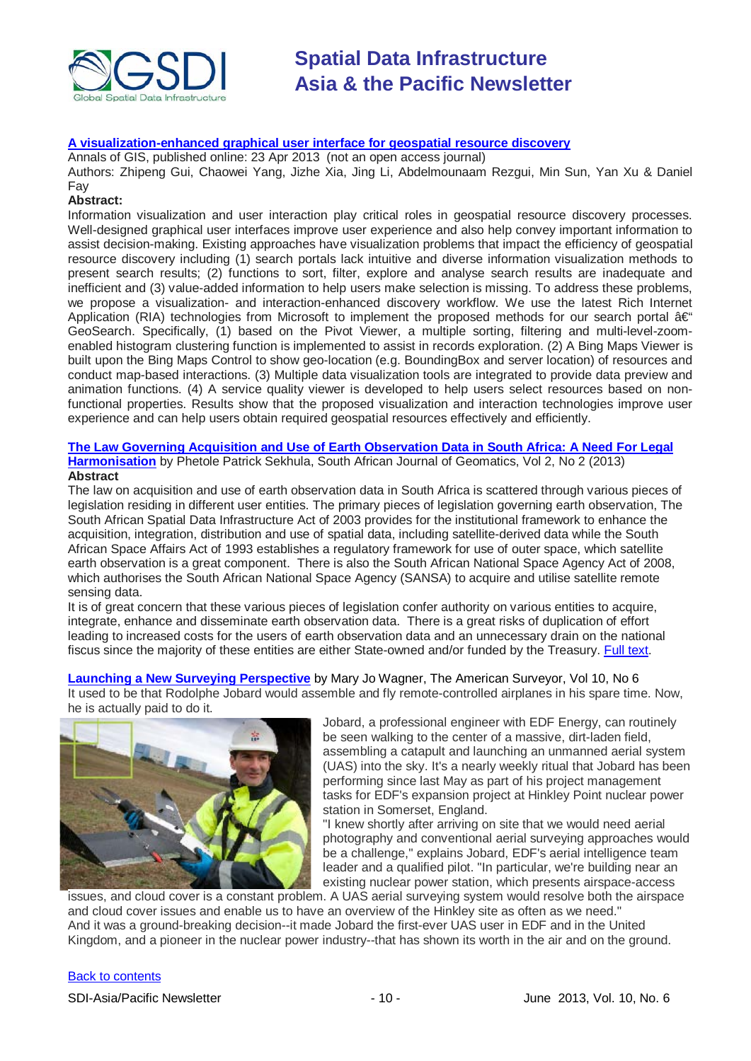

#### **[A visualization-enhanced graphical user interface for geospatial resource discovery](http://www.tandfonline.com/doi/abs/10.1080/19475683.2013.782467)**

Annals of GIS, published online: 23 Apr 2013 (not an open access journal)

Authors: Zhipeng Gui, Chaowei Yang, Jizhe Xia, Jing Li, Abdelmounaam Rezgui, Min Sun, Yan Xu & Daniel Fay

#### **Abstract:**

Information visualization and user interaction play critical roles in geospatial resource discovery processes. Well-designed graphical user interfaces improve user experience and also help convey important information to assist decision-making. Existing approaches have visualization problems that impact the efficiency of geospatial resource discovery including (1) search portals lack intuitive and diverse information visualization methods to present search results; (2) functions to sort, filter, explore and analyse search results are inadequate and inefficient and (3) value-added information to help users make selection is missing. To address these problems, we propose a visualization- and interaction-enhanced discovery workflow. We use the latest Rich Internet Application (RIA) technologies from Microsoft to implement the proposed methods for our search portal  $a \in \mathcal{C}$ GeoSearch. Specifically, (1) based on the Pivot Viewer, a multiple sorting, filtering and multi-level-zoomenabled histogram clustering function is implemented to assist in records exploration. (2) A Bing Maps Viewer is built upon the Bing Maps Control to show geo-location (e.g. BoundingBox and server location) of resources and conduct map-based interactions. (3) Multiple data visualization tools are integrated to provide data preview and animation functions. (4) A service quality viewer is developed to help users select resources based on nonfunctional properties. Results show that the proposed visualization and interaction technologies improve user experience and can help users obtain required geospatial resources effectively and efficiently.

#### **[The Law Governing Acquisition and Use of Earth Observation Data in South Africa: A Need For Legal](http://www.sajg.org.za/index.php/sajg/article/view/89)  [Harmonisation](http://www.sajg.org.za/index.php/sajg/article/view/89)** by Phetole Patrick Sekhula, South African Journal of Geomatics, Vol 2, No 2 (2013) **Abstract**

The law on acquisition and use of earth observation data in South Africa is scattered through various pieces of legislation residing in different user entities. The primary pieces of legislation governing earth observation, The South African Spatial Data Infrastructure Act of 2003 provides for the institutional framework to enhance the acquisition, integration, distribution and use of spatial data, including satellite-derived data while the South African Space Affairs Act of 1993 establishes a regulatory framework for use of outer space, which satellite earth observation is a great component. There is also the South African National Space Agency Act of 2008, which authorises the South African National Space Agency (SANSA) to acquire and utilise satellite remote sensing data.

It is of great concern that these various pieces of legislation confer authority on various entities to acquire, integrate, enhance and disseminate earth observation data. There is a great risks of duplication of effort leading to increased costs for the users of earth observation data and an unnecessary drain on the national fiscus since the majority of these entities are either State-owned and/or funded by the Treasury. [Full text.](http://www.sajg.org.za/index.php/sajg/article/view/89/45)

**[Launching a New Surveying Perspective](http://www.amerisurv.com/PDF/TheAmericanSurveyor_Wagner-NewSurveyingPerspective_Vol10No6.pdf)** by Mary Jo Wagner, The American Surveyor, Vol 10, No 6 It used to be that Rodolphe Jobard would assemble and fly remote-controlled airplanes in his spare time. Now, he is actually paid to do it.



Jobard, a professional engineer with EDF Energy, can routinely be seen walking to the center of a massive, dirt-laden field, assembling a catapult and launching an unmanned aerial system (UAS) into the sky. It's a nearly weekly ritual that Jobard has been performing since last May as part of his project management tasks for EDF's expansion project at Hinkley Point nuclear power station in Somerset, England.

"I knew shortly after arriving on site that we would need aerial photography and conventional aerial surveying approaches would be a challenge," explains Jobard, EDF's aerial intelligence team leader and a qualified pilot. "In particular, we're building near an existing nuclear power station, which presents airspace-access

issues, and cloud cover is a constant problem. A UAS aerial surveying system would resolve both the airspace and cloud cover issues and enable us to have an overview of the Hinkley site as often as we need." And it was a ground-breaking decision--it made Jobard the first-ever UAS user in EDF and in the United Kingdom, and a pioneer in the nuclear power industry--that has shown its worth in the air and on the ground.

#### [Back to contents](#page-0-0)

SDI-Asia/Pacific Newsletter 1992 10 - 10 - 10 - June 2013, Vol. 10, No. 6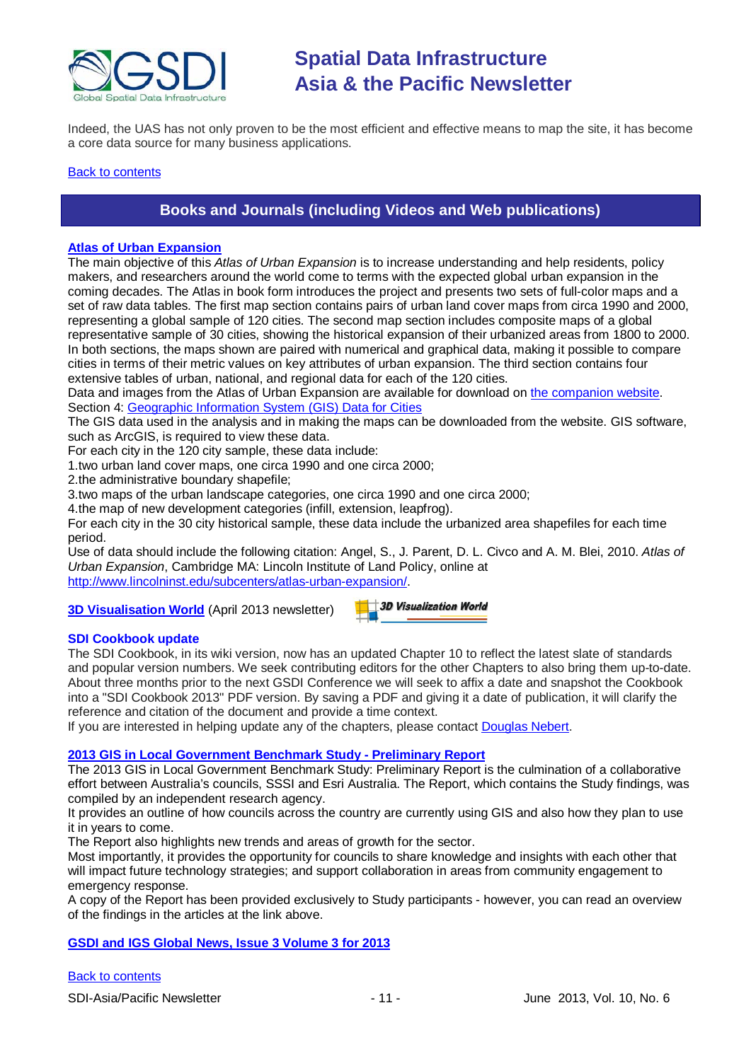

Indeed, the UAS has not only proven to be the most efficient and effective means to map the site, it has become a core data source for many business applications.

#### <span id="page-10-0"></span>**[Back to contents](#page-0-0)**

### **Books and Journals (including Videos and Web publications)**

### **[Atlas of Urban Expansion](http://www.lincolninst.edu/pubs/2072_Atlas-of-Urban-Expansion)**

The main objective of this *Atlas of Urban Expansion* is to increase understanding and help residents, policy makers, and researchers around the world come to terms with the expected global urban expansion in the coming decades. The Atlas in book form introduces the project and presents two sets of full-color maps and a set of raw data tables. The first map section contains pairs of urban land cover maps from circa 1990 and 2000, representing a global sample of 120 cities. The second map section includes composite maps of a global representative sample of 30 cities, showing the historical expansion of their urbanized areas from 1800 to 2000. In both sections, the maps shown are paired with numerical and graphical data, making it possible to compare cities in terms of their metric values on key attributes of urban expansion. The third section contains four extensive tables of urban, national, and regional data for each of the 120 cities.

Data and images from the Atlas of Urban Expansion are available for download o[n the companion website.](http://www.lincolninst.edu/subcenters/atlas-urban-expansion/) Section 4: [Geographic Information System \(GIS\) Data for Cities](http://www.lincolninst.edu/subcenters/atlas-urban-expansion/gis-data.aspx)

The GIS data used in the analysis and in making the maps can be downloaded from the website. GIS software, such as ArcGIS, is required to view these data.

For each city in the 120 city sample, these data include:

1.two urban land cover maps, one circa 1990 and one circa 2000;

2.the administrative boundary shapefile;

3.two maps of the urban landscape categories, one circa 1990 and one circa 2000;

4.the map of new development categories (infill, extension, leapfrog).

For each city in the 30 city historical sample, these data include the urbanized area shapefiles for each time period.

Use of data should include the following citation: Angel, S., J. Parent, D. L. Civco and A. M. Blei, 2010. *Atlas of Urban Expansion*, Cambridge MA: Lincoln Institute of Land Policy, online at [http://www.lincolninst.edu/subcenters/atlas-urban-expansion/.](https://owa.unimelb.edu.au/owa/redir.aspx?C=0dTbXiFUX0uPd9wcknul98O9WkY-GtAI-LpPNNDMkVR8cKtBelYyQ3fbjRLjLhiQkBmJA4Sud7M.&URL=http%3a%2f%2fwww.lincolninst.edu%2fsubcenters%2fatlas-urban-expansion%2f)

#### **[3D Visualisation World](http://visitor.benchmarkemail.com/c/v?e=2C7D98&c=27A3B&l=42E79F4&email=20i0rPjCDuEQfH2i1glrmJemkgBQcCdv&relid=509BECD)** (April 2013 newsletter)

|  | $\blacksquare$ 3D Visualization World |  |  |
|--|---------------------------------------|--|--|
|  |                                       |  |  |
|  |                                       |  |  |

#### **SDI Cookbook update**

The SDI Cookbook, in its wiki version, now has an updated Chapter 10 to reflect the latest slate of standards and popular version numbers. We seek contributing editors for the other Chapters to also bring them up-to-date. About three months prior to the next GSDI Conference we will seek to affix a date and snapshot the Cookbook into a "SDI Cookbook 2013" PDF version. By saving a PDF and giving it a date of publication, it will clarify the reference and citation of the document and provide a time context.

If you are interested in helping update any of the chapters, please contact [Douglas Nebert.](mailto:ddnebert@usgs.gov)

#### **[2013 GIS in Local Government Benchmark Study -](http://esriaustralia.com.au/benchmark-study) Preliminary Report**

The 2013 GIS in Local Government Benchmark Study: Preliminary Report is the culmination of a collaborative effort between Australia's councils, SSSI and Esri Australia. The Report, which contains the Study findings, was compiled by an independent research agency.

It provides an outline of how councils across the country are currently using GIS and also how they plan to use it in years to come.

The Report also highlights new trends and areas of growth for the sector.

Most importantly, it provides the opportunity for councils to share knowledge and insights with each other that will impact future technology strategies; and support collaboration in areas from community engagement to emergency response.

A copy of the Report has been provided exclusively to Study participants - however, you can read an overview of the findings in the articles at the link above.

#### **[GSDI and IGS Global News, Issue 3 Volume 3 for 2013](http://www.gsdi.org/newsletters#GSDI)**

#### [Back to contents](#page-0-0)

SDI-Asia/Pacific Newsletter 1992 11 - 11 - June 2013, Vol. 10, No. 6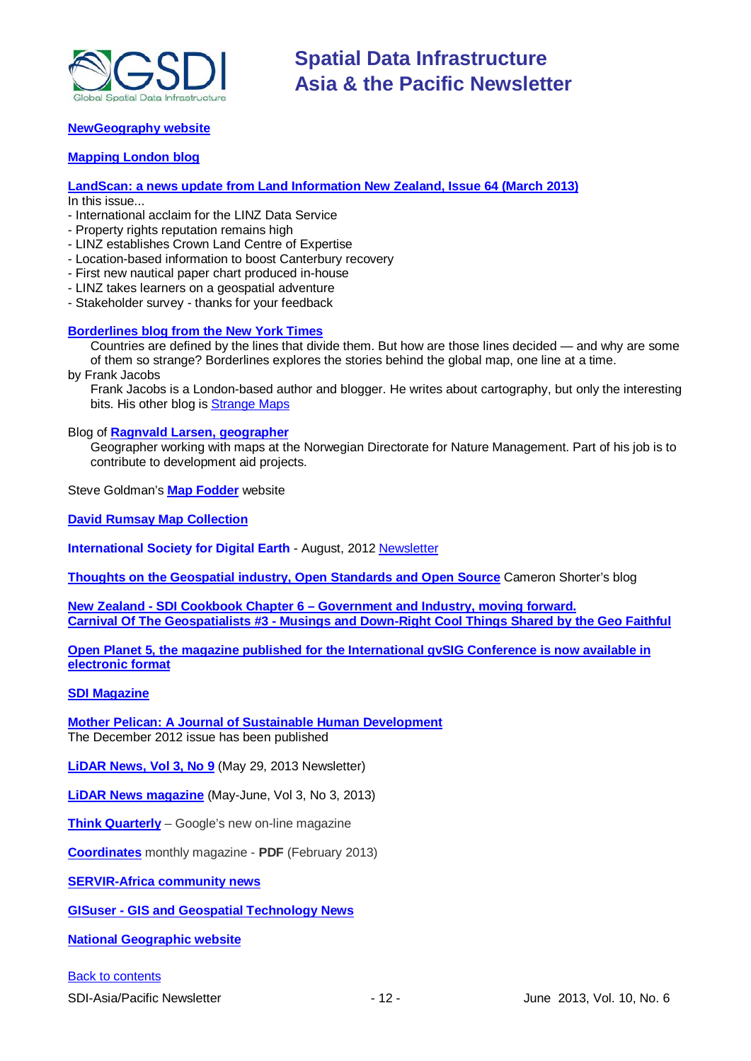

#### **[NewGeography website](http://www.newgeography.com/)**

#### **[Mapping London blog](http://mappinglondon.co.uk/)**

**[LandScan: a news update from Land Information New Zealand, Issue 64 \(March 2013\)](http://www.linz.govt.nz/sites/default/files/docs/supporting-info/about-linz/publications/landscan-201303.pdf)** In this issue...

- International acclaim for the LINZ Data Service

- Property rights reputation remains high
- LINZ establishes Crown Land Centre of Expertise
- Location-based information to boost Canterbury recovery
- First new nautical paper chart produced in-house
- LINZ takes learners on a geospatial adventure
- Stakeholder survey thanks for your feedback

#### **[Borderlines blog from the New York Times](http://opinionator.blogs.nytimes.com/category/borderlines/)**

Countries are defined by the lines that divide them. But how are those lines decided — and why are some of them so strange? Borderlines explores the stories behind the global map, one line at a time.

by Frank Jacobs

Frank Jacobs is a London-based author and blogger. He writes about cartography, but only the interesting bits. His other blog is [Strange Maps](http://bigthink.com/blogs/strange-maps)

#### Blog of **[Ragnvald Larsen, geographer](http://www.mindland.com/wp/)**

Geographer working with maps at the Norwegian Directorate for Nature Management. Part of his job is to contribute to development aid projects.

Steve Goldman's **[Map Fodder](http://www.mapfodder.com/index.html)** website

**[David Rumsay Map Collection](http://www.davidrumsey.com/)**

**International Society for Digital Earth** - August, 2012 [Newsletter](http://www.digitalearth-isde.org/news/isde-newsletter(201208).html)

**[Thoughts on the Geospatial industry, Open Standards and Open Source](http://cameronshorter.blogspot.com/2011/06/memoirs-of-cat-herder-coordinating.html)** Cameron Shorter's blog

**New Zealand - SDI Cookbook Chapter 6 – [Government and Industry, moving forward.](http://www.geospatial.govt.nz/sdi-cookbook-chapter-6-government-and-industry-moving-forward) Carnival Of The Geospatialists #3 - [Musings and Down-Right Cool Things Shared by the Geo Faithful](http://www.gisuser.com/content/view/25690/28/)**

**[Open Planet 5, the magazine published for the International gvSIG](http://jornadas.gvsig.org/descargas/magazine) Conference is now available in [electronic format](http://jornadas.gvsig.org/descargas/magazine)**

#### **[SDI Magazine](http://www.sdimag.com/)**

**[Mother Pelican: A Journal of Sustainable Human Development](http://www.pelicanweb.org/solisustv08n12page1.html)** The December 2012 issue has been published

**[LiDAR News, Vol 3, No 9](http://www.lidarnews.com/newsletter/Vol3No9.htm)** (May 29, 2013 Newsletter)

**[LiDAR News magazine](http://lidarnews.com/emag/2013/vol3no3/index.html)** (May-June, Vol 3, No 3, 2013)

**[Think Quarterly](http://thinkquarterly.co.uk/#aboutthebook)** – Google's new on-line magazine

**[Coordinates](http://mycoordinates.org/pdf/feb13.pdf)** monthly magazine - **PDF** (February 2013)

**[SERVIR-Africa community news](http://www.servirglobal.net/africa/en/News/CommunityNews.aspx)**

**GISuser - [GIS and Geospatial Technology News](http://www.gisuser.com/)**

**[National Geographic](http://www.nationalgeographic.com/) website**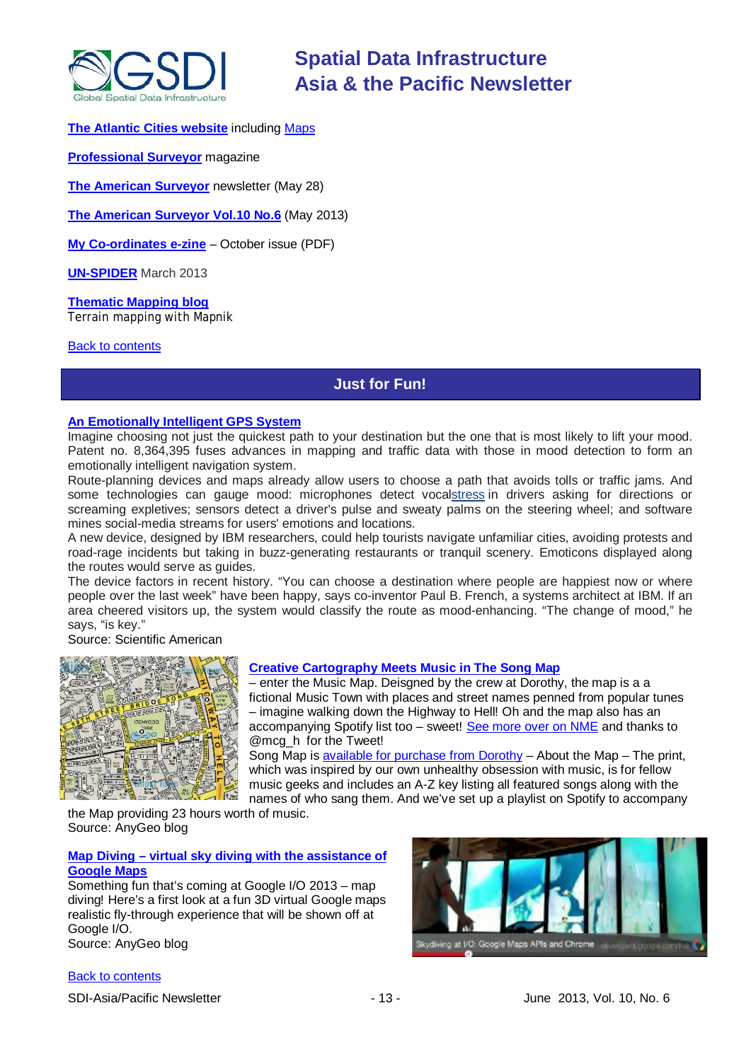

#### **[The Atlantic Cities website](http://www.theatlanticcities.com/)** including [Maps](http://www.theatlanticcities.com/posts/map/)

**[Professional Surveyor](http://www.profsurv.com/)** magazine

**[The American Surveyor](http://www.amerisurv.com/newsletter/28MAY2013.htm)** newsletter (May 28)

**[The American Surveyor Vol.10 No.6](http://amerisurv.com/emag/2013/vol10no6/index.html)** (May 2013)

**[My Co-ordinates e-zine](http://mycoordinates.org/pdf/oct12.pdf)** – October issue (PDF)

**[UN-SPIDER](http://www.un-spider.org/about/updates/un-spider-updates-march-2013)** March 2013

**[Thematic Mapping blog](http://blog.thematicmapping.org/)** Terrain mapping with Mapnik

<span id="page-12-0"></span>[Back to contents](#page-0-0)

### **Just for Fun!**

#### **[An Emotionally Intelligent GPS System](http://www.scientificamerican.com/article.cfm?id=emotionally-intelligent-gps-system)**

Imagine choosing not just the quickest path to your destination but the one that is most likely to lift your mood. Patent no. 8,364,395 fuses advances in mapping and traffic data with those in mood detection to form an emotionally intelligent navigation system.

Route-planning devices and maps already allow users to choose a path that avoids tolls or traffic jams. And some technologies can gauge mood: microphones detect voc[alstress](http://www.scientificamerican.com/topic.cfm?id=stress) in drivers asking for directions or screaming expletives; sensors detect a driver's pulse and sweaty palms on the steering wheel; and software mines social-media streams for users' emotions and locations.

A new device, designed by IBM researchers, could help tourists navigate unfamiliar cities, avoiding protests and road-rage incidents but taking in buzz-generating restaurants or tranquil scenery. Emoticons displayed along the routes would serve as guides.

The device factors in recent history. "You can choose a destination where people are happiest now or where people over the last week" have been happy, says co-inventor Paul B. French, a systems architect at IBM. If an area cheered visitors up, the system would classify the route as mood-enhancing. "The change of mood," he says, "is key."

Source: Scientific American



#### **[Creative Cartography Meets Music in The Song Map](http://blog.gisuser.com/2013/05/09/creative-cartography-meets-music-in-the-song-map/)**

– enter the Music Map. Deisgned by the crew at Dorothy, the map is a a fictional Music Town with places and street names penned from popular tunes – imagine walking down the Highway to Hell! Oh and the map also has an accompanying Spotify list too – sweet! [See more over on NME](http://www.nme.com/blogs/the-big-picture/song-map-good-enough-to-get-lost-in) and thanks to @mcg\_h for the Tweet!

Song Map is [available for purchase from Dorothy](http://www.wearedorothy.com/shop/song-map-original-open-edition/) – About the Map – The print, which was inspired by our own unhealthy obsession with music, is for fellow music geeks and includes an A-Z key listing all featured songs along with the names of who sang them. And we've set up a playlist on Spotify to accompany

the Map providing 23 hours worth of music. Source: AnyGeo blog

#### **Map Diving – [virtual sky diving with the assistance of](http://blog.gisuser.com/2013/05/10/google-maps-team-to-show-off-map-diving-at-google-io/)  [Google Maps](http://blog.gisuser.com/2013/05/10/google-maps-team-to-show-off-map-diving-at-google-io/)**

Something fun that's coming at Google I/O 2013 – map diving! Here's a first look at a fun 3D virtual Google maps realistic fly-through experience that will be shown off at Google I/O. Source: AnyGeo blog



[Back to contents](#page-0-0)

SDI-Asia/Pacific Newsletter 1992 - 13 - 13 - June 2013, Vol. 10, No. 6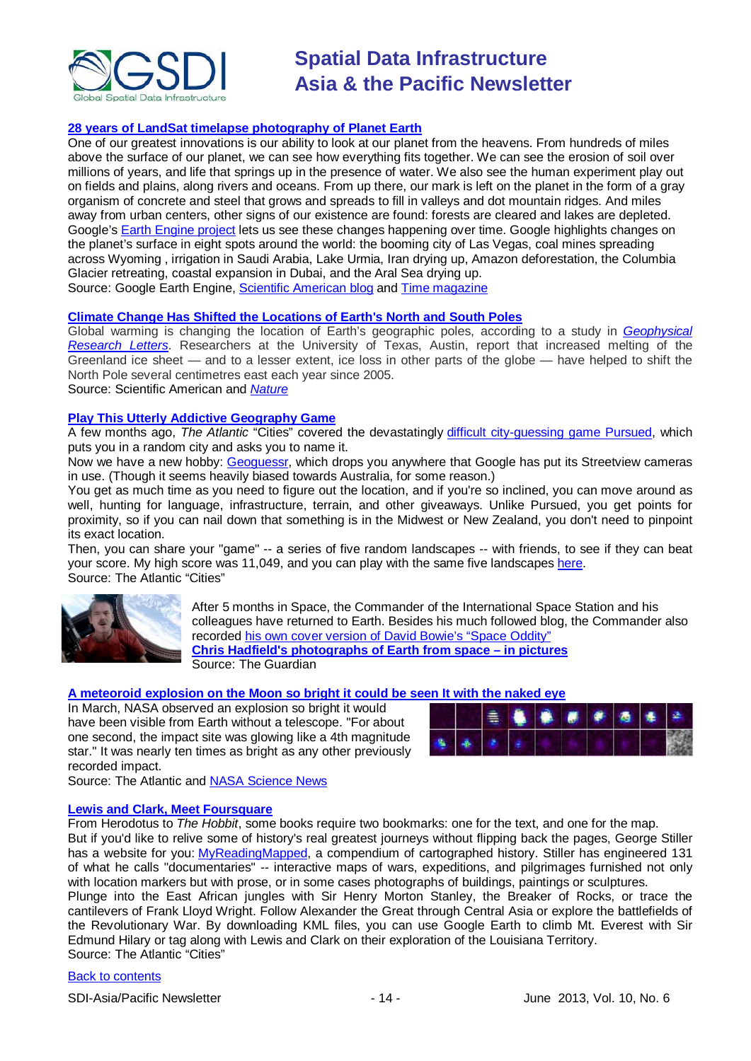

#### **[28 years of LandSat timelapse photography of Planet Earth](http://earthengine.google.org/#timelapse/v=30.34168,-97.75798,9.018,latLng&t=1.85)**

One of our greatest innovations is our ability to look at our planet from the heavens. From hundreds of miles above the surface of our planet, we can see how everything fits together. We can see the erosion of soil over millions of years, and life that springs up in the presence of water. We also see the human experiment play out on fields and plains, along rivers and oceans. From up there, our mark is left on the planet in the form of a gray organism of concrete and steel that grows and spreads to fill in valleys and dot mountain ridges. And miles away from urban centers, other signs of our existence are found: forests are cleared and lakes are depleted. Google's [Earth Engine project](http://earthengine.google.org/#intro/) lets us see these changes happening over time. Google highlights changes on the planet's surface in eight spots around the world: the booming city of Las Vegas, coal mines spreading across Wyoming , irrigation in Saudi Arabia, Lake Urmia, Iran drying up, Amazon deforestation, the Columbia Glacier retreating, coastal expansion in Dubai, and the Aral Sea drying up. Source: Google Earth Engine, [Scientific American blog](http://blogs.scientificamerican.com/plugged-in/2013/05/10/visualize-three-decades-of-changes-to-the-earths-surface-with-google-earth-timelapses/?WT_mc_id=SA_DD_20130510) and [Time magazine](http://world.time.com/timelapse/)

**Climate Change Has Shifted [the Locations of Earth's North and South Poles](http://www.scientificamerican.com/article.cfm?id=climate-change-has-shifted-location-north-south-poles&WT.mc_id=SA_DD_20130515)**

Global warming is changing the location of Earth's geographic poles, according to a study in *[Geophysical](http://onlinelibrary.wiley.com/doi/10.1002/grl.50552/abstract;jsessionid=A6265A0772DF49836381826D3B3959F8.d02t01)  [Research Letters](http://onlinelibrary.wiley.com/doi/10.1002/grl.50552/abstract;jsessionid=A6265A0772DF49836381826D3B3959F8.d02t01)*. Researchers at the University of Texas, Austin, report that increased melting of the Greenland ice sheet — and to a lesser extent, ice loss in other parts of the globe — have helped to shift the North Pole several centimetres east each year since 2005.

Source: Scientific American and *[Nature](http://www.nature.com/news/polar-wander-linked-to-climate-change-1.12994)*

#### **[Play This Utterly Addictive Geography Game](http://www.theatlanticcities.com/arts-and-lifestyle/2013/05/blow-work-and-play-utterly-addictive-geography-game/5593/)**

A few months ago, *The Atlantic* "Cities" covered the devastatingly [difficult city-guessing game](http://www.theatlanticcities.com/arts-and-lifestyle/2013/03/time-waster-day-guess-city/4925/) [Pursued,](http://pursued.nemesys.hu/) which puts you in a random city and asks you to name it.

Now we have a new hobby: [Geoguessr,](http://geoguessr.com/) which drops you anywhere that Google has put its Streetview cameras in use. (Though it seems heavily biased towards Australia, for some reason.)

You get as much time as you need to figure out the location, and if you're so inclined, you can move around as well, hunting for language, infrastructure, terrain, and other giveaways. Unlike Pursued, you get points for proximity, so if you can nail down that something is in the Midwest or New Zealand, you don't need to pinpoint its exact location.

Then, you can share your "game" -- a series of five random landscapes -- with friends, to see if they can beat your score. My high score was 11,049, and you can play with the same five landscapes [here.](http://www.geoguessr.com/?s=eyJ0b3RhbFBvaW50cyI6MTEwNDksInZlcnNpb24iOjEsInJvdW5kcyI6W1sicm91bmQiLCJsYXQiLCJsbmciLCJnTGF0IiwiZ0xuZyJdLFsxLC03LjAyNzcyNiwtMzcuMjc4MzQzMDAwMDAwMDEsLTI3LjA1OTEyNTc4NDM3NDA1NCwtNDkuNTcwMzEyNV0sWzIsLTI5LjQ1OTI0NywxNTAuOTI0MTE2MDAwMDAwMDMsLTI4LjMwNDM4MDY4Mjk2Mjc3LDEyOC42NzE4NzVdLFszLDI5LjMzNzQsLTkwLjYzODU4Mzk5OTk5OTk4LDMwLjE0NTEyNzE4MzM3NjEzLC04OC44NTc0MjE4NzVdLFs0LC0yOS4wMDkxNTUsMTM0Ljc1ODI2Njk5OTk5OTkzLC0yMi4yNjg3NjQwMzkwNzM5NjUsMTE2LjE5MTQwNjI1XSxbNSw0Mi40NTExNTksLTg0LjQ1NzkzMjAwMDAwMDAzLDM4LjY4NTUwOTc2MDAxMiwtODQuMzc1XV19) Source: The Atlantic "Cities"



After 5 months in Space, the Commander of the International Space Station and his colleagues have returned to Earth. Besides his much followed blog, the Commander also recorded [his own cover version of David Bowie's](http://www.guardian.co.uk/science/2013/may/14/international-space-station-nasa) "Space Oddity" **[Chris Hadfield's photographs of Earth from space –](http://www.guardian.co.uk/science/gallery/2013/may/13/chris-hadfield-space-in-pictures) in pictures** Source: The Guardian

#### **[A meteoroid explosion on the Moon so bright it could be seen It with the naked eye](http://www.theatlantic.com/technology/archive/2013/05/nasa-records-an-explosion-on-the-moon-so-bright-you-could-have-seen-it-with-your-bare-eyes/276002/)**

In March, NASA observed an explosion so bright it would have been visible from Earth without a telescope. "For about one second, the impact site was glowing like a 4th magnitude star." It was nearly ten times as bright as any other previously recorded impact.



Source: The Atlantic and [NASA Science News](http://science.nasa.gov/science-news/science-at-nasa/2013/16may_lunarimpact/)

#### **[Lewis and Clark, Meet Foursquare](http://www.theatlanticcities.com/technology/2013/05/lewis-and-clark-meet-foursquare/5708/)**

From Herodotus to *The Hobbit*, some books require two bookmarks: one for the text, and one for the map. But if you'd like to relive some of history's real greatest journeys without flipping back the pages, George Stiller has a website for you: [MyReadingMapped,](http://myreadingmapped.blogspot.com/) a compendium of cartographed history. Stiller has engineered 131 of what he calls "documentaries" -- interactive maps of wars, expeditions, and pilgrimages furnished not only with location markers but with prose, or in some cases photographs of buildings, paintings or sculptures. Plunge into the East African jungles with Sir Henry Morton Stanley, the Breaker of Rocks, or trace the cantilevers of Frank Lloyd Wright. Follow Alexander the Great through Central Asia or explore the battlefields of the Revolutionary War. By downloading KML files, you can use Google Earth to climb Mt. Everest with Sir Edmund Hilary or tag along with Lewis and Clark on their exploration of the Louisiana Territory. Source: The Atlantic "Cities"

#### [Back to contents](#page-0-0)

SDI-Asia/Pacific Newsletter - 14 - June 2013, Vol. 10, No. 6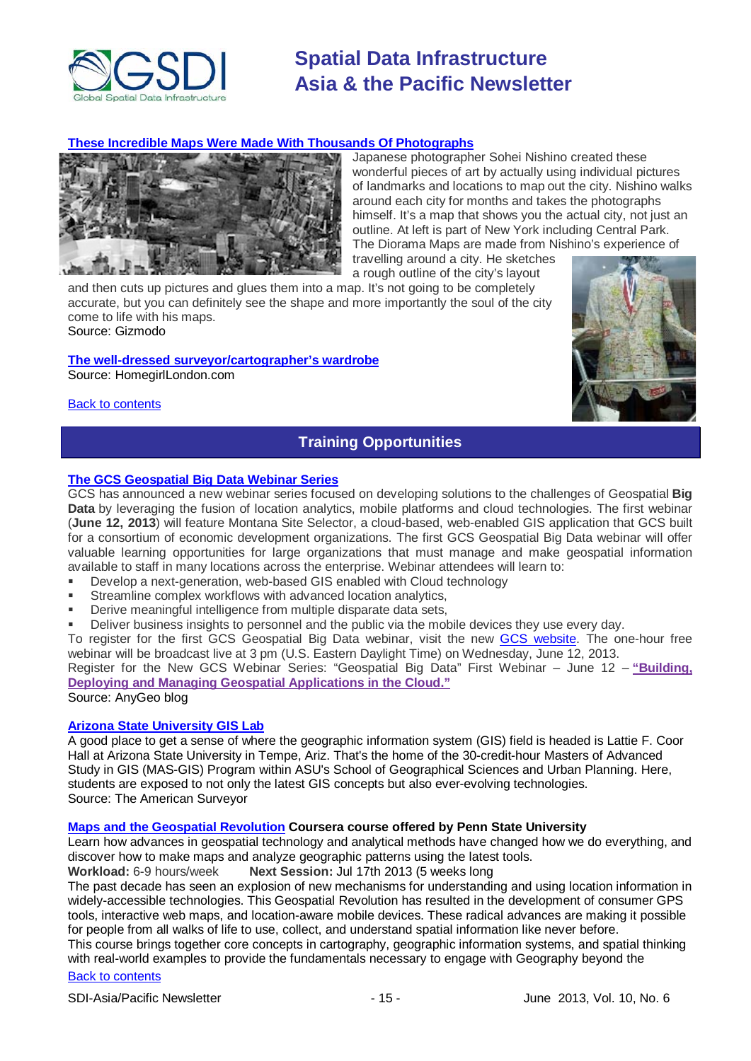

#### **[These Incredible Maps Were Made With Thousands Of Photographs](http://www.gizmodo.com.au/2013/05/these-incredible-maps-were-made-with-thousands-of-photographs/)**



Japanese photographer Sohei Nishino created these wonderful pieces of art by actually using individual pictures of landmarks and locations to map out the city. Nishino walks around each city for months and takes the photographs himself. It's a map that shows you the actual city, not just an outline. At left is part of New York including Central Park. The Diorama Maps are made from Nishino's experience of travelling around a city. He sketches

a rough outline of the city's layout and then cuts up pictures and glues them into a map. It's not going to be completely

accurate, but you can definitely see the shape and more importantly the soul of the city come to life with his maps. Source: Gizmodo

#### **[The well-dressed surveyor/cartographer's wardrobe](http://homegirllondon.com/trends-new-direction-for-maps/)**

Source: HomegirlLondon.com

<span id="page-14-0"></span>[Back to contents](#page-0-0)



### **Training Opportunities**

#### **[The GCS Geospatial Big Data Webinar Series](http://blog.gisuser.com/2013/05/22/the-gcs-geospatial-big-data-webinar-series/)**

GCS has announced a new webinar series focused on developing solutions to the challenges of Geospatial **Big Data** by leveraging the fusion of location analytics, mobile platforms and cloud technologies. The first webinar (**June 12, 2013**) will feature Montana Site Selector, a cloud-based, web-enabled GIS application that GCS built for a consortium of economic development organizations. The first GCS Geospatial Big Data webinar will offer valuable learning opportunities for large organizations that must manage and make geospatial information available to staff in many locations across the enterprise. Webinar attendees will learn to:

- Develop a next-generation, web-based GIS enabled with Cloud technology
- **Streamline complex workflows with advanced location analytics,**
- **EXECT:** Derive meaningful intelligence from multiple disparate data sets,
- Deliver business insights to personnel and the public via the mobile devices they use every day.

To register for the first GCS Geospatial Big Data webinar, visit the new [GCS website.](http://www.yourdatasmarter.com/) The one-hour free webinar will be broadcast live at 3 pm (U.S. Eastern Daylight Time) on Wednesday, June 12, 2013.

Register for the New GCS Webinar Series: "Geospatial Big Data" First Webinar – June 12 – **["Building,](http://www.yourdatasmarter.com/) Deploying and Managing Geospatial [Applications](http://www.yourdatasmarter.com/) in the Cloud."**

Source: AnyGeo blog

### **[Arizona State University GIS Lab](http://www.amerisurv.com/content/view/11050/153/)**

A good place to get a sense of where the geographic information system (GIS) field is headed is Lattie F. Coor Hall at Arizona State University in Tempe, Ariz. That's the home of the 30-credit-hour Masters of Advanced Study in GIS (MAS-GIS) Program within ASU's School of Geographical Sciences and Urban Planning. Here, students are exposed to not only the latest GIS concepts but also ever-evolving technologies. Source: The American Surveyor

#### **[Maps and the Geospatial Revolution](https://www.coursera.org/course/maps) Coursera course offered by Penn State University**

Learn how advances in geospatial technology and analytical methods have changed how we do everything, and discover how to make maps and analyze geographic patterns using the latest tools.

**Workload:** 6-9 hours/week **Next Session:** Jul 17th 2013 (5 weeks long

The past decade has seen an explosion of new mechanisms for understanding and using location information in widely-accessible technologies. This Geospatial Revolution has resulted in the development of consumer GPS tools, interactive web maps, and location-aware mobile devices. These radical advances are making it possible for people from all walks of life to use, collect, and understand spatial information like never before.

[Back to contents](#page-0-0) This course brings together core concepts in cartography, geographic information systems, and spatial thinking with real-world examples to provide the fundamentals necessary to engage with Geography beyond the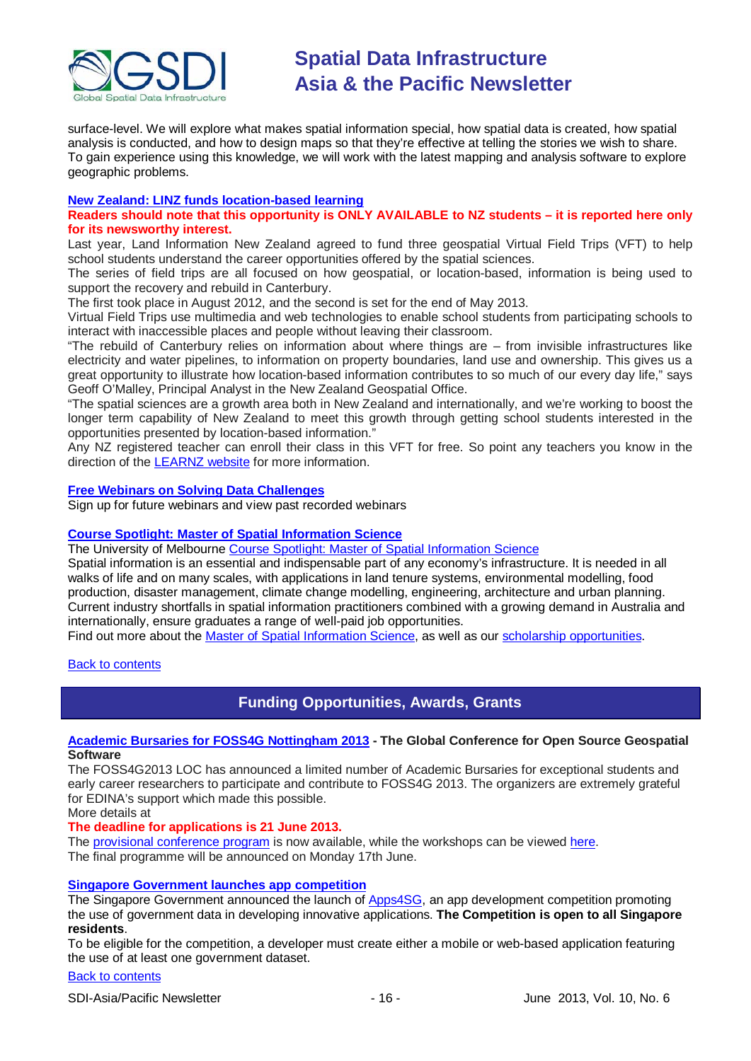

surface-level. We will explore what makes spatial information special, how spatial data is created, how spatial analysis is conducted, and how to design maps so that they're effective at telling the stories we wish to share. To gain experience using this knowledge, we will work with the latest mapping and analysis software to explore geographic problems.

#### **[New Zealand: LINZ funds location-based learning](http://www.linz.govt.nz/about-linz/news-publications-and-consultations/news-and-notices/linz-funds-location-based-learning)**

#### **Readers should note that this opportunity is ONLY AVAILABLE to NZ students – it is reported here only for its newsworthy interest.**

Last year, Land Information New Zealand agreed to fund three geospatial Virtual Field Trips (VFT) to help school students understand the career opportunities offered by the spatial sciences.

The series of field trips are all focused on how geospatial, or location-based, information is being used to support the recovery and rebuild in Canterbury.

The first took place in August 2012, and the second is set for the end of May 2013.

Virtual Field Trips use multimedia and web technologies to enable school students from participating schools to interact with inaccessible places and people without leaving their classroom.

"The rebuild of Canterbury relies on information about where things are – from invisible infrastructures like electricity and water pipelines, to information on property boundaries, land use and ownership. This gives us a great opportunity to illustrate how location-based information contributes to so much of our every day life," says Geoff O'Malley, Principal Analyst in the New Zealand Geospatial Office.

"The spatial sciences are a growth area both in New Zealand and internationally, and we're working to boost the longer term capability of New Zealand to meet this growth through getting school students interested in the opportunities presented by location-based information."

Any NZ registered teacher can enroll their class in this VFT for free. So point any teachers you know in the direction of the [LEARNZ website](http://www.learnz.org.nz/) for more information.

#### **[Free Webinars on Solving Data Challenges](http://www.safe.com/learning/webinars/)**

Sign up for future webinars and view past recorded webinars

#### **[Course Spotlight: Master of Spatial Information Science](http://themelbourneengineer.eng.unimelb.edu.au/2012/02/course-spotlight-master-of-spatial-information-science/)**

The University of Melbourne [Course Spotlight: Master of Spatial Information Science](http://themelbourneengineer.eng.unimelb.edu.au/2012/02/course-spotlight-master-of-spatial-information-science/)

Spatial information is an essential and indispensable part of any economy's infrastructure. It is needed in all walks of life and on many scales, with applications in land tenure systems, environmental modelling, food production, disaster management, climate change modelling, engineering, architecture and urban planning. Current industry shortfalls in spatial information practitioners combined with a growing demand in Australia and internationally, ensure graduates a range of well-paid job opportunities.

Find out more about the [Master of Spatial Information Science,](http://www.msi.unimelb.edu.au/study/graduate/master-of-spatial-information-science/) as well as our [scholarship opportunities.](http://www.eng.unimelb.edu.au/study/graduate/scholarships.html)

#### <span id="page-15-0"></span>[Back to contents](#page-0-0)

### **Funding Opportunities, Awards, Grants**

#### **[Academic Bursaries for FOSS4G Nottingham 2013](http://2013.foss4g.org/registration/academic-bursaries/) - The Global Conference for Open Source Geospatial Software**

The FOSS4G2013 LOC has announced a limited number of Academic Bursaries for exceptional students and early career researchers to participate and contribute to FOSS4G 2013. The organizers are extremely grateful for EDINA's support which made this possible.

More details at

#### **The deadline for applications is 21 June 2013.**

The [provisional conference program](http://2013.foss4g.org/provisional/) is now available, while the workshops can be viewed [here.](http://2013.foss4g.org/provisional/workshops.html) The final programme will be announced on Monday 17th June.

#### **[Singapore Government launches app competition](http://www.futuregov.asia/articles/2013/apr/03/singapore-government-launches-app-competition/)**

The Singapore Government announced the launch of [Apps4SG,](http://www.data.gov.sg/apps4sg/) an app development competition promoting the use of government data in developing innovative applications. **The Competition is open to all Singapore residents**.

To be eligible for the competition, a developer must create either a mobile or web-based application featuring the use of at least one government dataset.

### [Back to contents](#page-0-0)

SDI-Asia/Pacific Newsletter 1992 10 - 16 - 16 - June 2013, Vol. 10, No. 6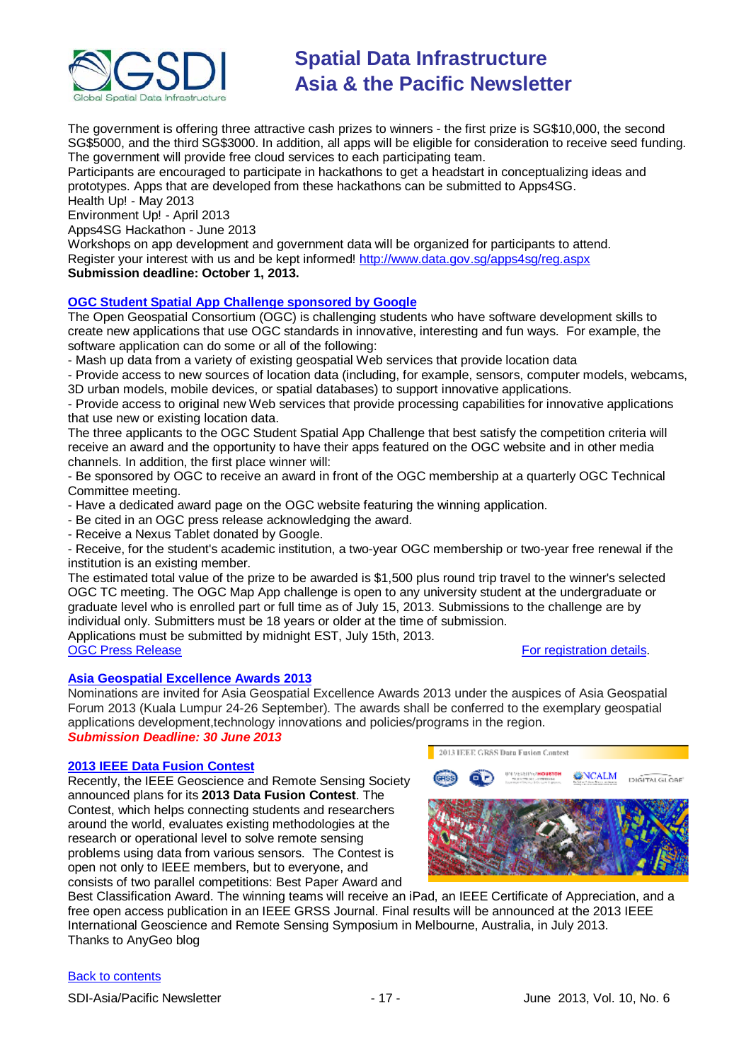

The government is offering three attractive cash prizes to winners - the first prize is SG\$10,000, the second SG\$5000, and the third SG\$3000. In addition, all apps will be eligible for consideration to receive seed funding. The government will provide free cloud services to each participating team.

Participants are encouraged to participate in hackathons to get a headstart in conceptualizing ideas and prototypes. Apps that are developed from these hackathons can be submitted to Apps4SG.

Health Up! - May 2013

Environment Up! - April 2013

Apps4SG Hackathon - June 2013

Workshops on app development and government data will be organized for participants to attend. Register your interest with us and be kept informed! [http://www.data.gov.sg/apps4sg/reg.aspx](https://owa.unimelb.edu.au/owa/redir.aspx?C=SzHNAl626ki9PiQZsK0eOSMT6H7CBtAI1q5ZvdwYeK6fo1dS_t5_M86QLVJxctM5SbXJkOBBAIY.&URL=http%3a%2f%2fwww.data.gov.sg%2fapps4sg%2freg.aspx) **Submission deadline: October 1, 2013.**

### **[OGC Student Spatial App Challenge sponsored by Google](http://appchallenge.opengeospatial.org/index.html)**

The Open Geospatial Consortium (OGC) is challenging students who have software development skills to create new applications that use OGC standards in innovative, interesting and fun ways. For example, the software application can do some or all of the following:

- Mash up data from a variety of existing geospatial Web services that provide location data

- Provide access to new sources of location data (including, for example, sensors, computer models, webcams, 3D urban models, mobile devices, or spatial databases) to support innovative applications.

- Provide access to original new Web services that provide processing capabilities for innovative applications that use new or existing location data.

The three applicants to the OGC Student Spatial App Challenge that best satisfy the competition criteria will receive an award and the opportunity to have their apps featured on the OGC website and in other media channels. In addition, the first place winner will:

- Be sponsored by OGC to receive an award in front of the OGC membership at a quarterly OGC Technical Committee meeting.

- Have a dedicated award page on the OGC website featuring the winning application.

- Be cited in an OGC press release acknowledging the award.
- Receive a Nexus Tablet donated by Google.

- Receive, for the student's academic institution, a two-year OGC membership or two-year free renewal if the institution is an existing member.

The estimated total value of the prize to be awarded is \$1,500 plus round trip travel to the winner's selected OGC TC meeting. The OGC Map App challenge is open to any university student at the undergraduate or graduate level who is enrolled part or full time as of July 15, 2013. Submissions to the challenge are by individual only. Submitters must be 18 years or older at the time of submission.

Applications must be submitted by midnight EST, July 15th, 2013.<br>OGC Press Release

#### [For registration details.](http://appchallenge.opengeospatial.org/)

#### **[Asia Geospatial Excellence Awards 2013](http://www.asiageospatialforum.org/2013/nomination.htm)**

Nominations are invited for Asia Geospatial Excellence Awards 2013 under the auspices of Asia Geospatial Forum 2013 (Kuala Lumpur 24-26 September). The awards shall be conferred to the exemplary geospatial applications development,technology innovations and policies/programs in the region. *Submission Deadline: 30 June 2013*

#### **[2013 IEEE Data Fusion Contest](http://www.grss-ieee.org/community/technical-committees/data-fusion/data-fusion-contest/)**

Recently, the IEEE Geoscience and Remote Sensing Society announced plans for its **2013 Data Fusion Contest**. The Contest, which helps connecting students and researchers around the world, evaluates existing methodologies at the research or operational level to solve remote sensing problems using data from various sensors. The Contest is open not only to IEEE members, but to everyone, and consists of two parallel competitions: Best Paper Award and



Best Classification Award. The winning teams will receive an iPad, an IEEE Certificate of Appreciation, and a free open access publication in an IEEE GRSS Journal. Final results will be announced at the 2013 IEEE International Geoscience and Remote Sensing Symposium in Melbourne, Australia, in July 2013. Thanks to AnyGeo blog

#### [Back to contents](#page-0-0)

SDI-Asia/Pacific Newsletter - 17 - June 2013, Vol. 10, No. 6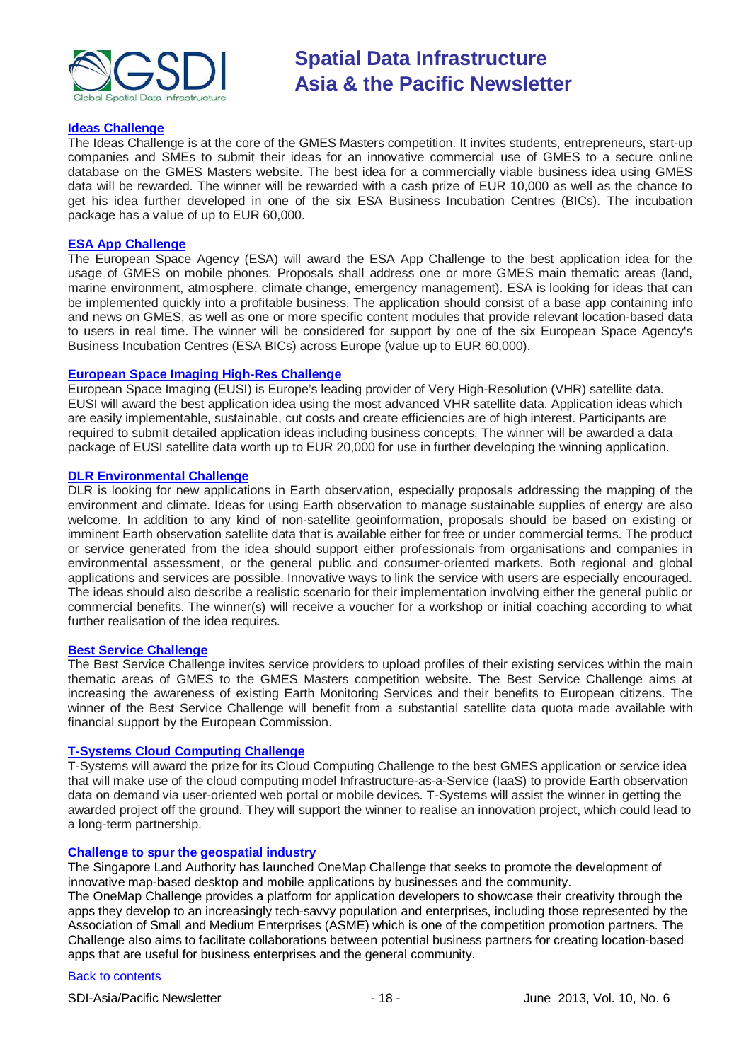

#### **[Ideas Challenge](http://www.gmes-masters.com/ideas-challenge)**

The Ideas Challenge is at the core of the GMES Masters competition. It invites students, entrepreneurs, start-up companies and SMEs to submit their ideas for an innovative commercial use of GMES to a secure online database on the GMES Masters website. The best idea for a commercially viable business idea using GMES data will be rewarded. The winner will be rewarded with a cash prize of EUR 10,000 as well as the chance to get his idea further developed in one of the six ESA Business Incubation Centres (BICs). The incubation package has a value of up to EUR 60,000.

#### **[ESA App Challenge](http://www.gmes-masters.com/esa-app-challenge)**

The European Space Agency (ESA) will award the ESA App Challenge to the best application idea for the usage of GMES on mobile phones. Proposals shall address one or more GMES main thematic areas (land, marine environment, atmosphere, climate change, emergency management). ESA is looking for ideas that can be implemented quickly into a profitable business. The application should consist of a base app containing info and news on GMES, as well as one or more specific content modules that provide relevant location-based data to users in real time. The winner will be considered for support by one of the six European Space Agency's Business Incubation Centres (ESA BICs) across Europe (value up to EUR 60,000).

#### **[European Space Imaging High-Res Challenge](http://www.gmes-masters.com/european-space-0)**

European Space Imaging (EUSI) is Europe's leading provider of Very High-Resolution (VHR) satellite data. EUSI will award the best application idea using the most advanced VHR satellite data. Application ideas which are easily implementable, sustainable, cut costs and create efficiencies are of high interest. Participants are required to submit detailed application ideas including business concepts. The winner will be awarded a data package of EUSI satellite data worth up to EUR 20,000 for use in further developing the winning application.

#### **[DLR Environmental Challenge](http://www.gmes-masters.com/dlr-environmental)**

DLR is looking for new applications in Earth observation, especially proposals addressing the mapping of the environment and climate. Ideas for using Earth observation to manage sustainable supplies of energy are also welcome. In addition to any kind of non-satellite geoinformation, proposals should be based on existing or imminent Earth observation satellite data that is available either for free or under commercial terms. The product or service generated from the idea should support either professionals from organisations and companies in environmental assessment, or the general public and consumer-oriented markets. Both regional and global applications and services are possible. Innovative ways to link the service with users are especially encouraged. The ideas should also describe a realistic scenario for their implementation involving either the general public or commercial benefits. The winner(s) will receive a voucher for a workshop or initial coaching according to what further realisation of the idea requires.

#### **[Best Service Challenge](http://www.gmes-masters.com/best-service)**

The Best Service Challenge invites service providers to upload profiles of their existing services within the main thematic areas of GMES to the GMES Masters competition website. The Best Service Challenge aims at increasing the awareness of existing Earth Monitoring Services and their benefits to European citizens. The winner of the Best Service Challenge will benefit from a substantial satellite data quota made available with financial support by the European Commission.

#### **[T-Systems Cloud Computing Challenge](http://www.gmes-masters.com/t-systems-cloud)**

T-Systems will award the prize for its Cloud Computing Challenge to the best GMES application or service idea that will make use of the cloud computing model Infrastructure-as-a-Service (IaaS) to provide Earth observation data on demand via user-oriented web portal or mobile devices. T-Systems will assist the winner in getting the awarded project off the ground. They will support the winner to realise an innovation project, which could lead to a long-term partnership.

#### **[Challenge to spur the geospatial industry](http://geospatialworld.net/index.php?option=com_content&view=article&id=23850:challenge-to-spur-the-geospatial-industry&catid=75:miscellaneous-events)**

The Singapore Land Authority has launched OneMap Challenge that seeks to promote the development of innovative map-based desktop and mobile applications by businesses and the community.

The OneMap Challenge provides a platform for application developers to showcase their creativity through the apps they develop to an increasingly tech-savvy population and enterprises, including those represented by the Association of Small and Medium Enterprises (ASME) which is one of the competition promotion partners. The Challenge also aims to facilitate collaborations between potential business partners for creating location-based apps that are useful for business enterprises and the general community.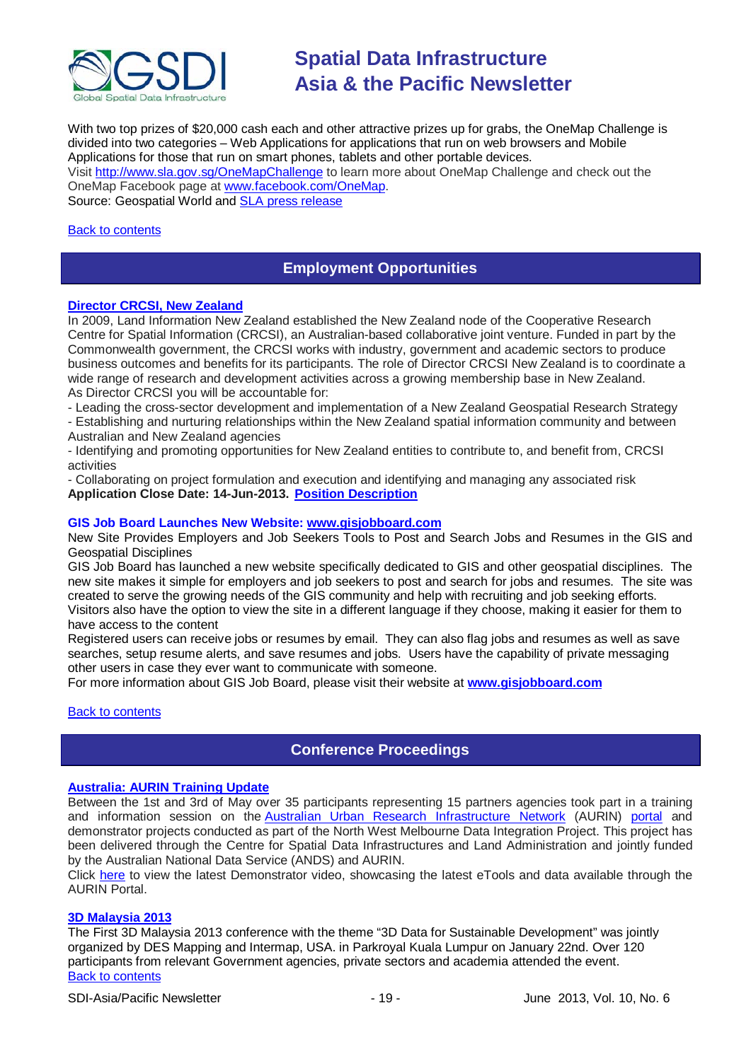

With two top prizes of \$20,000 cash each and other attractive prizes up for grabs, the OneMap Challenge is divided into two categories – Web Applications for applications that run on web browsers and Mobile Applications for those that run on smart phones, tablets and other portable devices. Visit <http://www.sla.gov.sg/OneMapChallenge> to learn more about OneMap Challenge and check out the OneMap Facebook page at [www.facebook.com/OneMap.](http://www.facebook.com/OneMap) Source: Geospatial World and [SLA press release](http://www.sla.gov.sg/htm/new/new2012/new0401.htm)

#### <span id="page-18-0"></span>[Back to contents](#page-0-0)

### **Employment Opportunities**

#### **[Director CRCSI, New Zealand](https://careers.linz.govt.nz/jobtools/jncustomsearch.viewFullSingle?in_organid=17952&in_jnCounter=222430312)**

In 2009, Land Information New Zealand established the New Zealand node of the Cooperative Research Centre for Spatial Information (CRCSI), an Australian-based collaborative joint venture. Funded in part by the Commonwealth government, the CRCSI works with industry, government and academic sectors to produce business outcomes and benefits for its participants. The role of Director CRCSI New Zealand is to coordinate a wide range of research and development activities across a growing membership base in New Zealand. As Director CRCSI you will be accountable for:

- Leading the cross-sector development and implementation of a New Zealand Geospatial Research Strategy

- Establishing and nurturing relationships within the New Zealand spatial information community and between Australian and New Zealand agencies

- Identifying and promoting opportunities for New Zealand entities to contribute to, and benefit from, CRCSI activities

- Collaborating on project formulation and execution and identifying and managing any associated risk **Application Close Date: 14-Jun-2013. [Position Description](https://careers.linz.govt.nz/jobtools/b_fileupload.proc_download?in_file_id=21396420&in_servicecode=CUSTOMSEARCH&in_organid=17952&in_sessionid=0&in_hash_key=31A5477062EA4D22FFAA8E2D22EE39AB)**

#### **GIS Job Board Launches New Website: [www.gisjobboard.com](http://www.gisjobboard.com/)**

New Site Provides Employers and Job Seekers Tools to Post and Search Jobs and Resumes in the GIS and Geospatial Disciplines

GIS Job Board has launched a new website specifically dedicated to GIS and other geospatial disciplines. The new site makes it simple for employers and job seekers to post and search for jobs and resumes. The site was created to serve the growing needs of the GIS community and help with recruiting and job seeking efforts. Visitors also have the option to view the site in a different language if they choose, making it easier for them to have access to the content

Registered users can receive jobs or resumes by email. They can also flag jobs and resumes as well as save searches, setup resume alerts, and save resumes and jobs. Users have the capability of private messaging other users in case they ever want to communicate with someone.

For more information about GIS Job Board, please visit their website at **[www.gisjobboard.com](http://www.gisjobboard.com/)**

#### <span id="page-18-1"></span>[Back to contents](#page-0-0)

### **Conference Proceedings**

#### **[Australia: AURIN Training Update](http://blogs.unimelb.edu.au/aurinands/2013/05/13/aurin-training-update/)**

Between the 1st and 3rd of May over 35 participants representing 15 partners agencies took part in a training and information session on the [Australian Urban Research Infrastructure Network](http://aurin.org.au/) (AURIN) [portal](https://apps.aurin.org.au/gate/index.html) and demonstrator projects conducted as part of the North West Melbourne Data Integration Project. This project has been delivered through the Centre for Spatial Data Infrastructures and Land Administration and jointly funded by the Australian National Data Service (ANDS) and AURIN.

Click [here](http://vimeo.com/62744887) to view the latest Demonstrator video, showcasing the latest eTools and data available through the AURIN Portal.

#### **[3D Malaysia 2013](http://www.asmmag.com/2012-12-30-14-58-59/event-coverage/4730-takeaways-from-3d-malaysia-2013.html)**

[Back to contents](#page-0-0) The First 3D Malaysia 2013 conference with the theme "3D Data for Sustainable Development" was jointly organized by DES Mapping and Intermap, USA. in Parkroyal Kuala Lumpur on January 22nd. Over 120 participants from relevant Government agencies, private sectors and academia attended the event.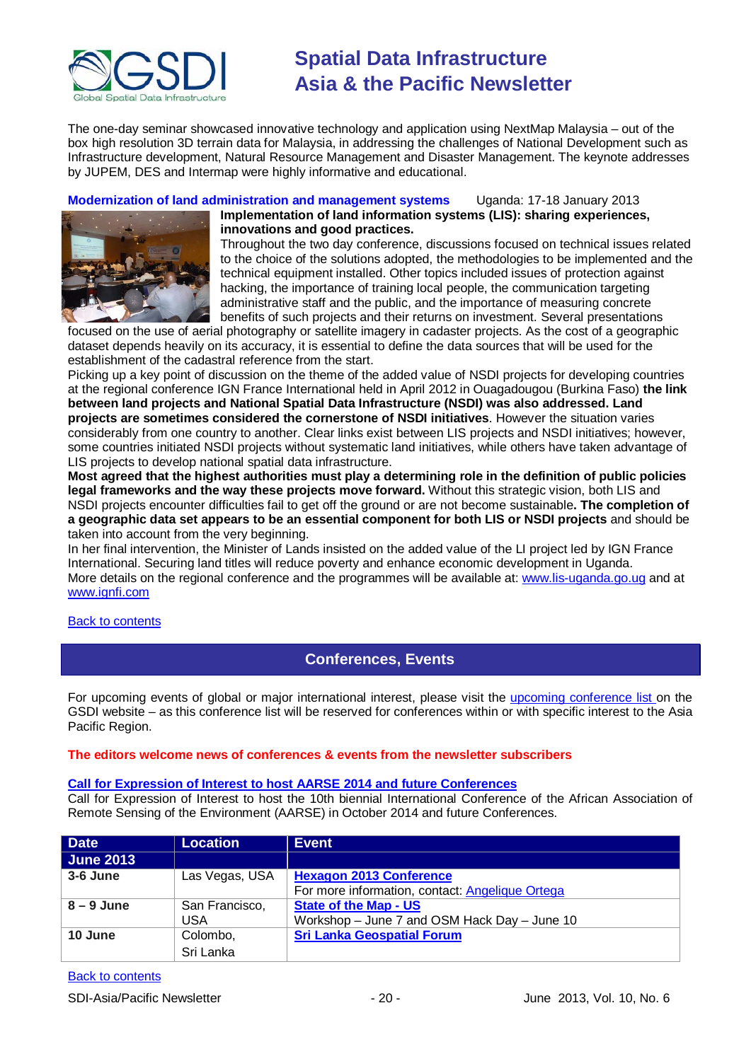

The one-day seminar showcased innovative technology and application using NextMap Malaysia – out of the box high resolution 3D terrain data for Malaysia, in addressing the challenges of National Development such as Infrastructure development, Natural Resource Management and Disaster Management. The keynote addresses by JUPEM, DES and Intermap were highly informative and educational.

**Modernization of land administration and management systems** Uganda: 17-18 January 2013



**Implementation of land information systems (LIS): sharing experiences, innovations and good practices.**

Throughout the two day conference, discussions focused on technical issues related to the choice of the solutions adopted, the methodologies to be implemented and the technical equipment installed. Other topics included issues of protection against hacking, the importance of training local people, the communication targeting administrative staff and the public, and the importance of measuring concrete benefits of such projects and their returns on investment. Several presentations

focused on the use of aerial photography or satellite imagery in cadaster projects. As the cost of a geographic dataset depends heavily on its accuracy, it is essential to define the data sources that will be used for the establishment of the cadastral reference from the start.

Picking up a key point of discussion on the theme of the added value of NSDI projects for developing countries at the regional conference IGN France International held in April 2012 in Ouagadougou (Burkina Faso) **the link between land projects and National Spatial Data Infrastructure (NSDI) was also addressed. Land projects are sometimes considered the cornerstone of NSDI initiatives**. However the situation varies considerably from one country to another. Clear links exist between LIS projects and NSDI initiatives; however, some countries initiated NSDI projects without systematic land initiatives, while others have taken advantage of LIS projects to develop national spatial data infrastructure.

**Most agreed that the highest authorities must play a determining role in the definition of public policies legal frameworks and the way these projects move forward.** Without this strategic vision, both LIS and NSDI projects encounter difficulties fail to get off the ground or are not become sustainable**. The completion of a geographic data set appears to be an essential component for both LIS or NSDI projects** and should be taken into account from the very beginning.

In her final intervention, the Minister of Lands insisted on the added value of the LI project led by IGN France International. Securing land titles will reduce poverty and enhance economic development in Uganda. More details on the regional conference and the programmes will be available at: [www.lis-uganda.go.ug](http://www.lis-uganda.go.ug/) and at [www.ignfi.com](http://www.ignfi.com/)

#### <span id="page-19-0"></span>[Back to contents](#page-0-0)

### **Conferences, Events**

For upcoming events of global or major international interest, please visit the [upcoming conference list o](http://gsdi.org/events/upcnf.asp)n the GSDI website – as this conference list will be reserved for conferences within or with specific interest to the Asia Pacific Region.

#### **The editors welcome news of conferences & events from the newsletter subscribers**

#### **[Call for Expression of Interest to host AARSE 2014 and future Conferences](http://lists.gsdi.org/pipermail/sdi-africa/2010-November/001135.html)**

Call for Expression of Interest to host the 10th biennial International Conference of the African Association of Remote Sensing of the Environment (AARSE) in October 2014 and future Conferences.

| <b>Date</b>      | <b>Location</b> | <b>Event</b>                                           |
|------------------|-----------------|--------------------------------------------------------|
| <b>June 2013</b> |                 |                                                        |
| 3-6 June         | Las Vegas, USA  | <b>Hexagon 2013 Conference</b>                         |
|                  |                 | For more information, contact: <b>Angelique Ortega</b> |
| $8 - 9$ June     | San Francisco,  | <b>State of the Map - US</b>                           |
|                  | USA             | Workshop – June 7 and OSM Hack Day – June 10           |
| 10 June          | Colombo,        | <b>Sri Lanka Geospatial Forum</b>                      |
|                  | Sri Lanka       |                                                        |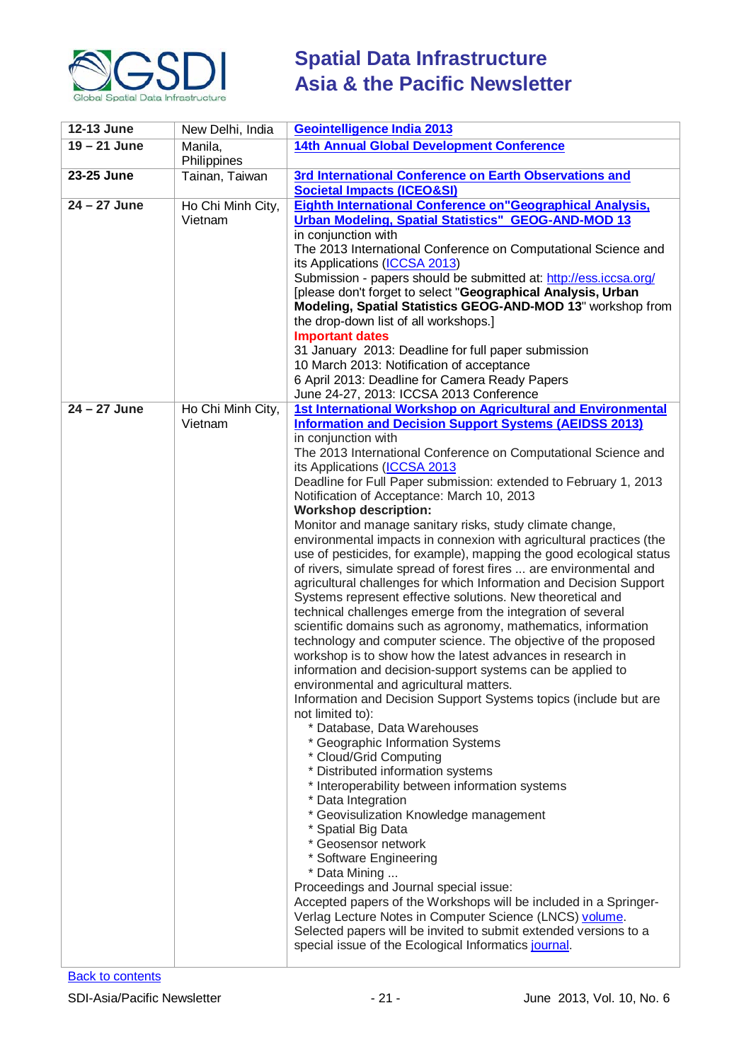

| 12-13 June              | New Delhi, India             | Geointelligence India 2013                                                                                                                                                                                                                                                                                                                                                                                                                                                                                                                                                                                                                                                                                                                                                                                                                                                                                                                                                                                                                                                                                                                                                                                                                                                                                                                                                                                                                                                                                                                                                                                                                                                                                                                                                                                                                                                                                                                    |
|-------------------------|------------------------------|-----------------------------------------------------------------------------------------------------------------------------------------------------------------------------------------------------------------------------------------------------------------------------------------------------------------------------------------------------------------------------------------------------------------------------------------------------------------------------------------------------------------------------------------------------------------------------------------------------------------------------------------------------------------------------------------------------------------------------------------------------------------------------------------------------------------------------------------------------------------------------------------------------------------------------------------------------------------------------------------------------------------------------------------------------------------------------------------------------------------------------------------------------------------------------------------------------------------------------------------------------------------------------------------------------------------------------------------------------------------------------------------------------------------------------------------------------------------------------------------------------------------------------------------------------------------------------------------------------------------------------------------------------------------------------------------------------------------------------------------------------------------------------------------------------------------------------------------------------------------------------------------------------------------------------------------------|
| $19 - 21$ June          | Manila,<br>Philippines       | <b>14th Annual Global Development Conference</b>                                                                                                                                                                                                                                                                                                                                                                                                                                                                                                                                                                                                                                                                                                                                                                                                                                                                                                                                                                                                                                                                                                                                                                                                                                                                                                                                                                                                                                                                                                                                                                                                                                                                                                                                                                                                                                                                                              |
| 23-25 June              | Tainan, Taiwan               | 3rd International Conference on Earth Observations and<br><b>Societal Impacts (ICEO&amp;SI)</b>                                                                                                                                                                                                                                                                                                                                                                                                                                                                                                                                                                                                                                                                                                                                                                                                                                                                                                                                                                                                                                                                                                                                                                                                                                                                                                                                                                                                                                                                                                                                                                                                                                                                                                                                                                                                                                               |
| $24 - 27$ June          | Ho Chi Minh City,<br>Vietnam | <b>Eighth International Conference on "Geographical Analysis,</b><br>Urban Modeling, Spatial Statistics" GEOG-AND-MOD 13<br>in conjunction with<br>The 2013 International Conference on Computational Science and<br>its Applications (ICCSA 2013)<br>Submission - papers should be submitted at: http://ess.iccsa.org/<br>[please don't forget to select "Geographical Analysis, Urban<br>Modeling, Spatial Statistics GEOG-AND-MOD 13" workshop from<br>the drop-down list of all workshops.]<br><b>Important dates</b><br>31 January 2013: Deadline for full paper submission<br>10 March 2013: Notification of acceptance<br>6 April 2013: Deadline for Camera Ready Papers<br>June 24-27, 2013: ICCSA 2013 Conference                                                                                                                                                                                                                                                                                                                                                                                                                                                                                                                                                                                                                                                                                                                                                                                                                                                                                                                                                                                                                                                                                                                                                                                                                    |
| $\overline{24-27}$ June | Ho Chi Minh City,<br>Vietnam | 1st International Workshop on Agricultural and Environmental<br><b>Information and Decision Support Systems (AEIDSS 2013)</b><br>in conjunction with<br>The 2013 International Conference on Computational Science and<br>its Applications (ICCSA 2013<br>Deadline for Full Paper submission: extended to February 1, 2013<br>Notification of Acceptance: March 10, 2013<br><b>Workshop description:</b><br>Monitor and manage sanitary risks, study climate change,<br>environmental impacts in connexion with agricultural practices (the<br>use of pesticides, for example), mapping the good ecological status<br>of rivers, simulate spread of forest fires  are environmental and<br>agricultural challenges for which Information and Decision Support<br>Systems represent effective solutions. New theoretical and<br>technical challenges emerge from the integration of several<br>scientific domains such as agronomy, mathematics, information<br>technology and computer science. The objective of the proposed<br>workshop is to show how the latest advances in research in<br>information and decision-support systems can be applied to<br>environmental and agricultural matters.<br>Information and Decision Support Systems topics (include but are<br>not limited to):<br>* Database, Data Warehouses<br>* Geographic Information Systems<br>* Cloud/Grid Computing<br>* Distributed information systems<br>* Interoperability between information systems<br>* Data Integration<br>* Geovisulization Knowledge management<br>* Spatial Big Data<br>* Geosensor network<br>* Software Engineering<br>* Data Mining<br>Proceedings and Journal special issue:<br>Accepted papers of the Workshops will be included in a Springer-<br>Verlag Lecture Notes in Computer Science (LNCS) volume.<br>Selected papers will be invited to submit extended versions to a<br>special issue of the Ecological Informatics journal. |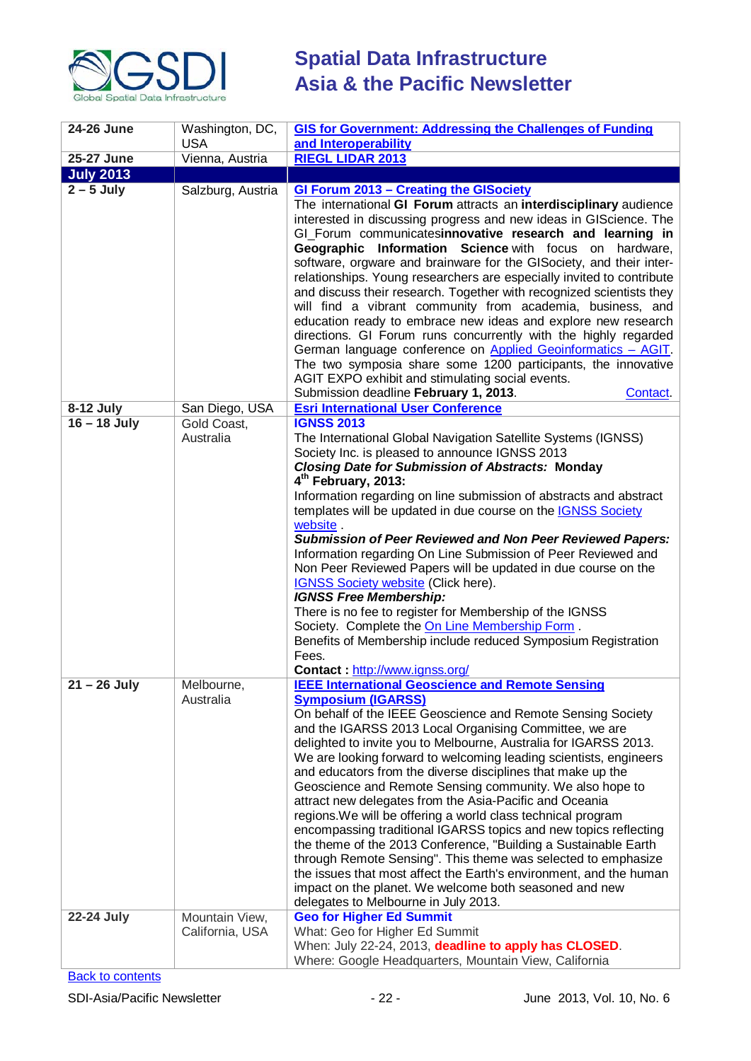

| 24-26 June       | Washington, DC,                   | <b>GIS for Government: Addressing the Challenges of Funding</b>                                                                                                                                                                                                                                                                                                                                                                                                                                                                                                                                                                                                                                                                                                                                                                                                                                                                                                                              |  |  |
|------------------|-----------------------------------|----------------------------------------------------------------------------------------------------------------------------------------------------------------------------------------------------------------------------------------------------------------------------------------------------------------------------------------------------------------------------------------------------------------------------------------------------------------------------------------------------------------------------------------------------------------------------------------------------------------------------------------------------------------------------------------------------------------------------------------------------------------------------------------------------------------------------------------------------------------------------------------------------------------------------------------------------------------------------------------------|--|--|
|                  | <b>USA</b>                        | and Interoperability<br><b>RIEGL LIDAR 2013</b>                                                                                                                                                                                                                                                                                                                                                                                                                                                                                                                                                                                                                                                                                                                                                                                                                                                                                                                                              |  |  |
| 25-27 June       | Vienna, Austria                   |                                                                                                                                                                                                                                                                                                                                                                                                                                                                                                                                                                                                                                                                                                                                                                                                                                                                                                                                                                                              |  |  |
| <b>July 2013</b> |                                   |                                                                                                                                                                                                                                                                                                                                                                                                                                                                                                                                                                                                                                                                                                                                                                                                                                                                                                                                                                                              |  |  |
| $2 - 5$ July     | Salzburg, Austria                 | <b>GI Forum 2013 - Creating the GISociety</b><br>The international GI Forum attracts an interdisciplinary audience<br>interested in discussing progress and new ideas in GIScience. The<br>GI_Forum communicatesinnovative research and learning in<br>Geographic Information Science with focus on hardware,<br>software, orgware and brainware for the GISociety, and their inter-<br>relationships. Young researchers are especially invited to contribute<br>and discuss their research. Together with recognized scientists they<br>will find a vibrant community from academia, business, and<br>education ready to embrace new ideas and explore new research<br>directions. GI Forum runs concurrently with the highly regarded<br>German language conference on Applied Geoinformatics - AGIT.<br>The two symposia share some 1200 participants, the innovative<br>AGIT EXPO exhibit and stimulating social events.<br>Submission deadline February 1, 2013.<br>Contact.            |  |  |
| 8-12 July        | San Diego, USA                    | <b>Esri International User Conference</b>                                                                                                                                                                                                                                                                                                                                                                                                                                                                                                                                                                                                                                                                                                                                                                                                                                                                                                                                                    |  |  |
| $16 - 18$ July   | Gold Coast,<br>Australia          | <b>IGNSS 2013</b><br>The International Global Navigation Satellite Systems (IGNSS)<br>Society Inc. is pleased to announce IGNSS 2013<br><b>Closing Date for Submission of Abstracts: Monday</b><br>4 <sup>th</sup> February, 2013:<br>Information regarding on line submission of abstracts and abstract<br>templates will be updated in due course on the <b>IGNSS Society</b><br>website.<br><b>Submission of Peer Reviewed and Non Peer Reviewed Papers:</b><br>Information regarding On Line Submission of Peer Reviewed and<br>Non Peer Reviewed Papers will be updated in due course on the<br><b>IGNSS Society website (Click here).</b><br><b>IGNSS Free Membership:</b><br>There is no fee to register for Membership of the IGNSS<br>Society. Complete the On Line Membership Form.<br>Benefits of Membership include reduced Symposium Registration<br>Fees.<br>Contact: http://www.ignss.org/                                                                                    |  |  |
| $21 - 26$ July   | Melbourne,<br>Australia           | <b>IEEE International Geoscience and Remote Sensing</b><br><b>Symposium (IGARSS)</b><br>On behalf of the IEEE Geoscience and Remote Sensing Society<br>and the IGARSS 2013 Local Organising Committee, we are<br>delighted to invite you to Melbourne, Australia for IGARSS 2013.<br>We are looking forward to welcoming leading scientists, engineers<br>and educators from the diverse disciplines that make up the<br>Geoscience and Remote Sensing community. We also hope to<br>attract new delegates from the Asia-Pacific and Oceania<br>regions. We will be offering a world class technical program<br>encompassing traditional IGARSS topics and new topics reflecting<br>the theme of the 2013 Conference, "Building a Sustainable Earth<br>through Remote Sensing". This theme was selected to emphasize<br>the issues that most affect the Earth's environment, and the human<br>impact on the planet. We welcome both seasoned and new<br>delegates to Melbourne in July 2013. |  |  |
| 22-24 July       | Mountain View,<br>California, USA | <b>Geo for Higher Ed Summit</b><br>What: Geo for Higher Ed Summit<br>When: July 22-24, 2013, deadline to apply has CLOSED.<br>Where: Google Headquarters, Mountain View, California                                                                                                                                                                                                                                                                                                                                                                                                                                                                                                                                                                                                                                                                                                                                                                                                          |  |  |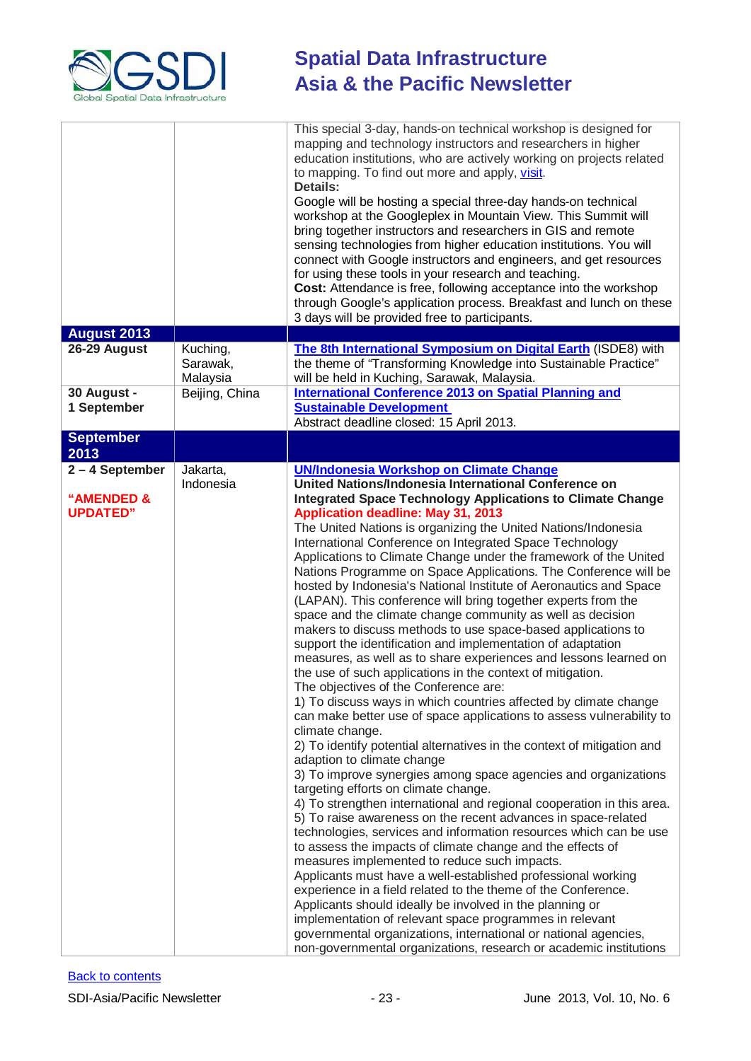

| <b>August 2013</b> |                      | This special 3-day, hands-on technical workshop is designed for<br>mapping and technology instructors and researchers in higher<br>education institutions, who are actively working on projects related<br>to mapping. To find out more and apply, visit.<br><b>Details:</b><br>Google will be hosting a special three-day hands-on technical<br>workshop at the Googleplex in Mountain View. This Summit will<br>bring together instructors and researchers in GIS and remote<br>sensing technologies from higher education institutions. You will<br>connect with Google instructors and engineers, and get resources<br>for using these tools in your research and teaching.<br>Cost: Attendance is free, following acceptance into the workshop<br>through Google's application process. Breakfast and lunch on these<br>3 days will be provided free to participants. |
|--------------------|----------------------|----------------------------------------------------------------------------------------------------------------------------------------------------------------------------------------------------------------------------------------------------------------------------------------------------------------------------------------------------------------------------------------------------------------------------------------------------------------------------------------------------------------------------------------------------------------------------------------------------------------------------------------------------------------------------------------------------------------------------------------------------------------------------------------------------------------------------------------------------------------------------|
| 26-29 August       | Kuching,             | The 8th International Symposium on Digital Earth (ISDE8) with                                                                                                                                                                                                                                                                                                                                                                                                                                                                                                                                                                                                                                                                                                                                                                                                              |
|                    | Sarawak,<br>Malaysia | the theme of "Transforming Knowledge into Sustainable Practice"<br>will be held in Kuching, Sarawak, Malaysia.                                                                                                                                                                                                                                                                                                                                                                                                                                                                                                                                                                                                                                                                                                                                                             |
| 30 August -        | Beijing, China       | <b>International Conference 2013 on Spatial Planning and</b>                                                                                                                                                                                                                                                                                                                                                                                                                                                                                                                                                                                                                                                                                                                                                                                                               |
| 1 September        |                      | <b>Sustainable Development</b><br>Abstract deadline closed: 15 April 2013.                                                                                                                                                                                                                                                                                                                                                                                                                                                                                                                                                                                                                                                                                                                                                                                                 |
| <b>September</b>   |                      |                                                                                                                                                                                                                                                                                                                                                                                                                                                                                                                                                                                                                                                                                                                                                                                                                                                                            |
| 2013               |                      |                                                                                                                                                                                                                                                                                                                                                                                                                                                                                                                                                                                                                                                                                                                                                                                                                                                                            |
| 2-4 September      | Jakarta,             | <b>UN/Indonesia Workshop on Climate Change</b>                                                                                                                                                                                                                                                                                                                                                                                                                                                                                                                                                                                                                                                                                                                                                                                                                             |
|                    | Indonesia            | United Nations/Indonesia International Conference on                                                                                                                                                                                                                                                                                                                                                                                                                                                                                                                                                                                                                                                                                                                                                                                                                       |
|                    |                      |                                                                                                                                                                                                                                                                                                                                                                                                                                                                                                                                                                                                                                                                                                                                                                                                                                                                            |
| "AMENDED &         |                      | <b>Integrated Space Technology Applications to Climate Change</b>                                                                                                                                                                                                                                                                                                                                                                                                                                                                                                                                                                                                                                                                                                                                                                                                          |
| <b>UPDATED"</b>    |                      | <b>Application deadline: May 31, 2013</b>                                                                                                                                                                                                                                                                                                                                                                                                                                                                                                                                                                                                                                                                                                                                                                                                                                  |
|                    |                      | The United Nations is organizing the United Nations/Indonesia                                                                                                                                                                                                                                                                                                                                                                                                                                                                                                                                                                                                                                                                                                                                                                                                              |
|                    |                      | International Conference on Integrated Space Technology                                                                                                                                                                                                                                                                                                                                                                                                                                                                                                                                                                                                                                                                                                                                                                                                                    |
|                    |                      | Applications to Climate Change under the framework of the United                                                                                                                                                                                                                                                                                                                                                                                                                                                                                                                                                                                                                                                                                                                                                                                                           |
|                    |                      | Nations Programme on Space Applications. The Conference will be                                                                                                                                                                                                                                                                                                                                                                                                                                                                                                                                                                                                                                                                                                                                                                                                            |
|                    |                      | hosted by Indonesia's National Institute of Aeronautics and Space                                                                                                                                                                                                                                                                                                                                                                                                                                                                                                                                                                                                                                                                                                                                                                                                          |
|                    |                      |                                                                                                                                                                                                                                                                                                                                                                                                                                                                                                                                                                                                                                                                                                                                                                                                                                                                            |
|                    |                      | (LAPAN). This conference will bring together experts from the                                                                                                                                                                                                                                                                                                                                                                                                                                                                                                                                                                                                                                                                                                                                                                                                              |
|                    |                      | space and the climate change community as well as decision                                                                                                                                                                                                                                                                                                                                                                                                                                                                                                                                                                                                                                                                                                                                                                                                                 |
|                    |                      | makers to discuss methods to use space-based applications to                                                                                                                                                                                                                                                                                                                                                                                                                                                                                                                                                                                                                                                                                                                                                                                                               |
|                    |                      | support the identification and implementation of adaptation                                                                                                                                                                                                                                                                                                                                                                                                                                                                                                                                                                                                                                                                                                                                                                                                                |
|                    |                      | measures, as well as to share experiences and lessons learned on                                                                                                                                                                                                                                                                                                                                                                                                                                                                                                                                                                                                                                                                                                                                                                                                           |
|                    |                      | the use of such applications in the context of mitigation.                                                                                                                                                                                                                                                                                                                                                                                                                                                                                                                                                                                                                                                                                                                                                                                                                 |
|                    |                      | The objectives of the Conference are:                                                                                                                                                                                                                                                                                                                                                                                                                                                                                                                                                                                                                                                                                                                                                                                                                                      |
|                    |                      | 1) To discuss ways in which countries affected by climate change                                                                                                                                                                                                                                                                                                                                                                                                                                                                                                                                                                                                                                                                                                                                                                                                           |
|                    |                      |                                                                                                                                                                                                                                                                                                                                                                                                                                                                                                                                                                                                                                                                                                                                                                                                                                                                            |
|                    |                      | can make better use of space applications to assess vulnerability to                                                                                                                                                                                                                                                                                                                                                                                                                                                                                                                                                                                                                                                                                                                                                                                                       |
|                    |                      | climate change.                                                                                                                                                                                                                                                                                                                                                                                                                                                                                                                                                                                                                                                                                                                                                                                                                                                            |
|                    |                      | 2) To identify potential alternatives in the context of mitigation and                                                                                                                                                                                                                                                                                                                                                                                                                                                                                                                                                                                                                                                                                                                                                                                                     |
|                    |                      | adaption to climate change                                                                                                                                                                                                                                                                                                                                                                                                                                                                                                                                                                                                                                                                                                                                                                                                                                                 |
|                    |                      | 3) To improve synergies among space agencies and organizations                                                                                                                                                                                                                                                                                                                                                                                                                                                                                                                                                                                                                                                                                                                                                                                                             |
|                    |                      | targeting efforts on climate change.                                                                                                                                                                                                                                                                                                                                                                                                                                                                                                                                                                                                                                                                                                                                                                                                                                       |
|                    |                      | 4) To strengthen international and regional cooperation in this area.                                                                                                                                                                                                                                                                                                                                                                                                                                                                                                                                                                                                                                                                                                                                                                                                      |
|                    |                      | 5) To raise awareness on the recent advances in space-related                                                                                                                                                                                                                                                                                                                                                                                                                                                                                                                                                                                                                                                                                                                                                                                                              |
|                    |                      | technologies, services and information resources which can be use                                                                                                                                                                                                                                                                                                                                                                                                                                                                                                                                                                                                                                                                                                                                                                                                          |
|                    |                      | to assess the impacts of climate change and the effects of                                                                                                                                                                                                                                                                                                                                                                                                                                                                                                                                                                                                                                                                                                                                                                                                                 |
|                    |                      | measures implemented to reduce such impacts.                                                                                                                                                                                                                                                                                                                                                                                                                                                                                                                                                                                                                                                                                                                                                                                                                               |
|                    |                      | Applicants must have a well-established professional working                                                                                                                                                                                                                                                                                                                                                                                                                                                                                                                                                                                                                                                                                                                                                                                                               |
|                    |                      | experience in a field related to the theme of the Conference.                                                                                                                                                                                                                                                                                                                                                                                                                                                                                                                                                                                                                                                                                                                                                                                                              |
|                    |                      |                                                                                                                                                                                                                                                                                                                                                                                                                                                                                                                                                                                                                                                                                                                                                                                                                                                                            |
|                    |                      | Applicants should ideally be involved in the planning or                                                                                                                                                                                                                                                                                                                                                                                                                                                                                                                                                                                                                                                                                                                                                                                                                   |
|                    |                      | implementation of relevant space programmes in relevant                                                                                                                                                                                                                                                                                                                                                                                                                                                                                                                                                                                                                                                                                                                                                                                                                    |
|                    |                      | governmental organizations, international or national agencies,                                                                                                                                                                                                                                                                                                                                                                                                                                                                                                                                                                                                                                                                                                                                                                                                            |
|                    |                      | non-governmental organizations, research or academic institutions                                                                                                                                                                                                                                                                                                                                                                                                                                                                                                                                                                                                                                                                                                                                                                                                          |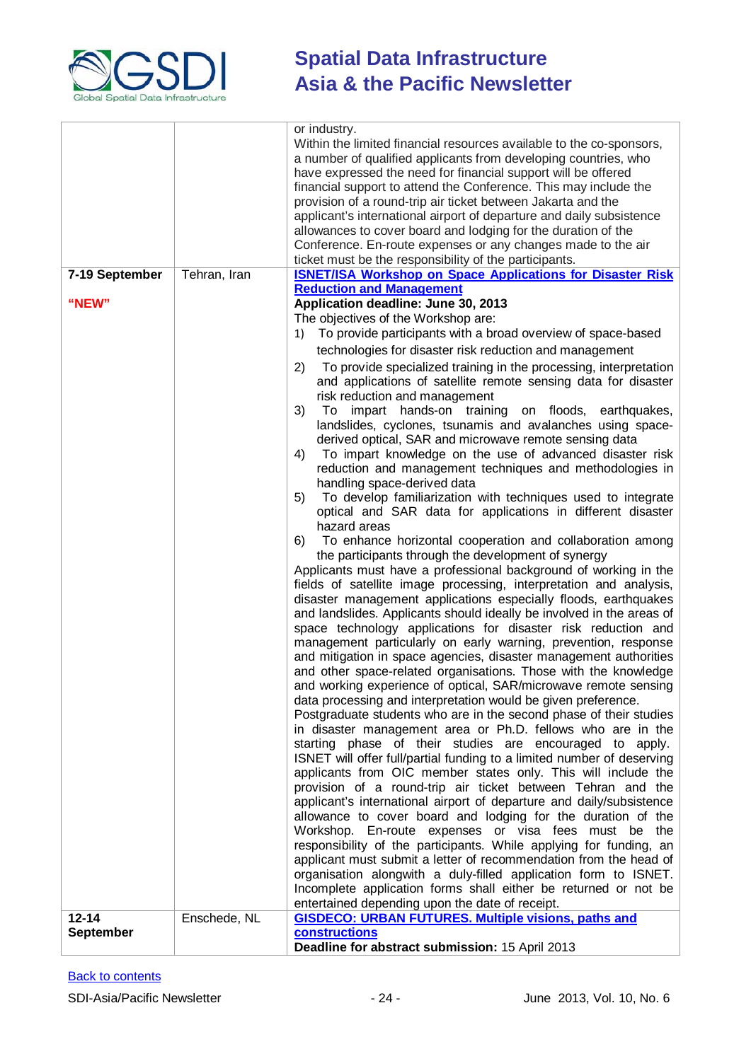

|                               |              | Within the limited financial resources available to the co-sponsors,<br>a number of qualified applicants from developing countries, who |
|-------------------------------|--------------|-----------------------------------------------------------------------------------------------------------------------------------------|
|                               |              | have expressed the need for financial support will be offered                                                                           |
|                               |              | financial support to attend the Conference. This may include the<br>provision of a round-trip air ticket between Jakarta and the        |
|                               |              | applicant's international airport of departure and daily subsistence                                                                    |
|                               |              | allowances to cover board and lodging for the duration of the                                                                           |
|                               |              | Conference. En-route expenses or any changes made to the air                                                                            |
|                               |              | ticket must be the responsibility of the participants.                                                                                  |
| 7-19 September                | Tehran, Iran | <b>ISNET/ISA Workshop on Space Applications for Disaster Risk</b>                                                                       |
| "NEW"                         |              | <b>Reduction and Management</b><br>Application deadline: June 30, 2013                                                                  |
|                               |              | The objectives of the Workshop are:                                                                                                     |
|                               |              | To provide participants with a broad overview of space-based<br>1)                                                                      |
|                               |              | technologies for disaster risk reduction and management                                                                                 |
|                               |              | To provide specialized training in the processing, interpretation<br>2)                                                                 |
|                               |              | and applications of satellite remote sensing data for disaster                                                                          |
|                               |              | risk reduction and management                                                                                                           |
|                               |              | 3)<br>impart hands-on training on floods,<br>earthquakes,<br>To                                                                         |
|                               |              | landslides, cyclones, tsunamis and avalanches using space-                                                                              |
|                               |              | derived optical, SAR and microwave remote sensing data<br>To impart knowledge on the use of advanced disaster risk<br>4)                |
|                               |              | reduction and management techniques and methodologies in                                                                                |
|                               |              | handling space-derived data                                                                                                             |
|                               |              | To develop familiarization with techniques used to integrate<br>5)                                                                      |
|                               |              | optical and SAR data for applications in different disaster                                                                             |
|                               |              | hazard areas<br>To enhance horizontal cooperation and collaboration among<br>6)                                                         |
|                               |              | the participants through the development of synergy                                                                                     |
|                               |              | Applicants must have a professional background of working in the                                                                        |
|                               |              | fields of satellite image processing, interpretation and analysis,                                                                      |
|                               |              | disaster management applications especially floods, earthquakes                                                                         |
|                               |              | and landslides. Applicants should ideally be involved in the areas of                                                                   |
|                               |              | space technology applications for disaster risk reduction and<br>management particularly on early warning, prevention, response         |
|                               |              | and mitigation in space agencies, disaster management authorities                                                                       |
|                               |              | and other space-related organisations. Those with the knowledge                                                                         |
|                               |              | and working experience of optical, SAR/microwave remote sensing                                                                         |
|                               |              | data processing and interpretation would be given preference.                                                                           |
|                               |              | Postgraduate students who are in the second phase of their studies                                                                      |
|                               |              | in disaster management area or Ph.D. fellows who are in the<br>starting phase of their studies are encouraged to apply.                 |
|                               |              | ISNET will offer full/partial funding to a limited number of deserving                                                                  |
|                               |              | applicants from OIC member states only. This will include the                                                                           |
|                               |              | provision of a round-trip air ticket between Tehran and the                                                                             |
|                               |              | applicant's international airport of departure and daily/subsistence                                                                    |
|                               |              | allowance to cover board and lodging for the duration of the<br>Workshop. En-route expenses or visa fees must be the                    |
|                               |              | responsibility of the participants. While applying for funding, an                                                                      |
|                               |              | applicant must submit a letter of recommendation from the head of                                                                       |
|                               |              | organisation alongwith a duly-filled application form to ISNET.                                                                         |
|                               |              | Incomplete application forms shall either be returned or not be                                                                         |
|                               |              | entertained depending upon the date of receipt.                                                                                         |
| $12 - 14$<br><b>September</b> | Enschede, NL | <b>GISDECO: URBAN FUTURES. Multiple visions, paths and</b><br><b>constructions</b>                                                      |
|                               |              | Deadline for abstract submission: 15 April 2013                                                                                         |
|                               |              |                                                                                                                                         |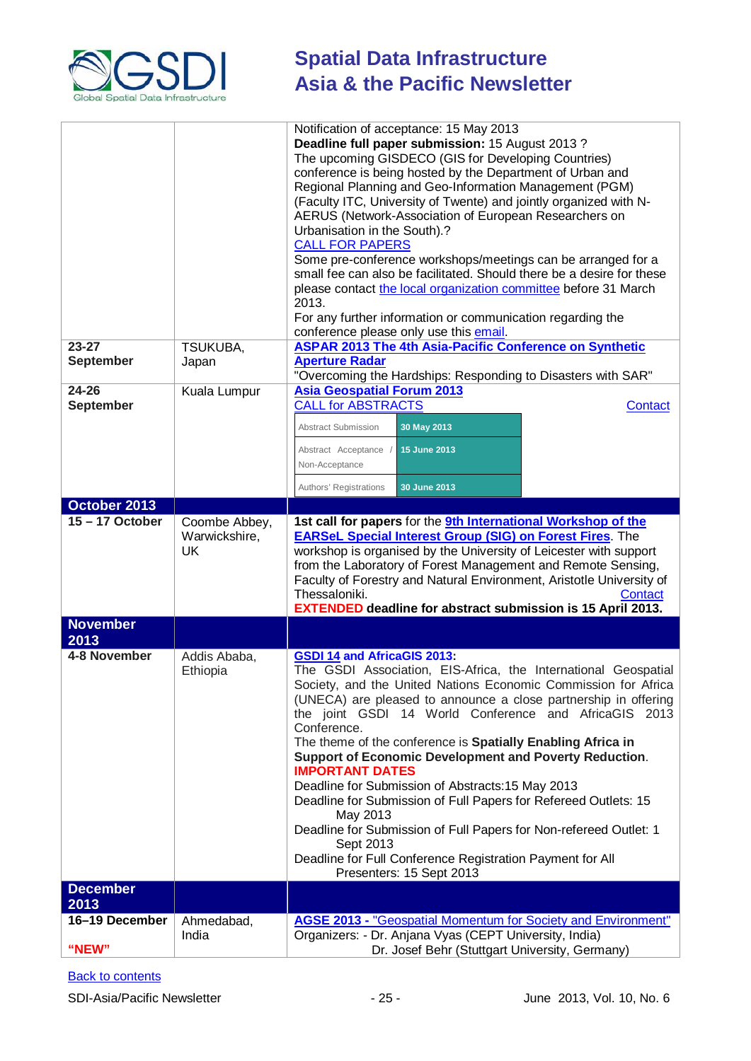

|                   |               | Notification of acceptance: 15 May 2013                                                                  |
|-------------------|---------------|----------------------------------------------------------------------------------------------------------|
|                   |               | Deadline full paper submission: 15 August 2013?                                                          |
|                   |               | The upcoming GISDECO (GIS for Developing Countries)                                                      |
|                   |               | conference is being hosted by the Department of Urban and                                                |
|                   |               | Regional Planning and Geo-Information Management (PGM)                                                   |
|                   |               | (Faculty ITC, University of Twente) and jointly organized with N-                                        |
|                   |               | AERUS (Network-Association of European Researchers on                                                    |
|                   |               | Urbanisation in the South).?                                                                             |
|                   |               | <b>CALL FOR PAPERS</b>                                                                                   |
|                   |               | Some pre-conference workshops/meetings can be arranged for a                                             |
|                   |               | small fee can also be facilitated. Should there be a desire for these                                    |
|                   |               | please contact the local organization committee before 31 March                                          |
|                   |               | 2013.                                                                                                    |
|                   |               |                                                                                                          |
|                   |               | For any further information or communication regarding the                                               |
|                   |               | conference please only use this email.                                                                   |
| $23 - 27$         | TSUKUBA,      | <b>ASPAR 2013 The 4th Asia-Pacific Conference on Synthetic</b>                                           |
| <b>September</b>  | Japan         | <b>Aperture Radar</b>                                                                                    |
|                   |               | "Overcoming the Hardships: Responding to Disasters with SAR"                                             |
| 24-26             | Kuala Lumpur  | <b>Asia Geospatial Forum 2013</b><br><b>CALL for ABSTRACTS</b>                                           |
| <b>September</b>  |               | <b>Contact</b>                                                                                           |
|                   |               | 30 May 2013<br>Abstract Submission                                                                       |
|                   |               | 15 June 2013<br>Abstract Acceptance                                                                      |
|                   |               | Non-Acceptance                                                                                           |
|                   |               |                                                                                                          |
|                   |               | 30 June 2013<br>Authors' Registrations                                                                   |
| October 2013      |               |                                                                                                          |
| $15 - 17$ October | Coombe Abbey, | 1st call for papers for the 9th International Workshop of the                                            |
|                   | Warwickshire, |                                                                                                          |
|                   |               | <b>EARSeL Special Interest Group (SIG) on Forest Fires.</b> The                                          |
|                   | <b>UK</b>     | workshop is organised by the University of Leicester with support                                        |
|                   |               | from the Laboratory of Forest Management and Remote Sensing,                                             |
|                   |               | Faculty of Forestry and Natural Environment, Aristotle University of                                     |
|                   |               | Thessaloniki.<br>Contact                                                                                 |
|                   |               | <b>EXTENDED deadline for abstract submission is 15 April 2013.</b>                                       |
| <b>November</b>   |               |                                                                                                          |
| 2013              |               |                                                                                                          |
| 4-8 November      | Addis Ababa,  | <b>GSDI 14 and AfricaGIS 2013:</b>                                                                       |
|                   | Ethiopia      | The GSDI Association, EIS-Africa, the International Geospatial                                           |
|                   |               | Society, and the United Nations Economic Commission for Africa                                           |
|                   |               | (UNECA) are pleased to announce a close partnership in offering                                          |
|                   |               | the joint GSDI 14 World Conference and AfricaGIS 2013                                                    |
|                   |               | Conference.                                                                                              |
|                   |               | The theme of the conference is Spatially Enabling Africa in                                              |
|                   |               | Support of Economic Development and Poverty Reduction.                                                   |
|                   |               | <b>IMPORTANT DATES</b>                                                                                   |
|                   |               | Deadline for Submission of Abstracts: 15 May 2013                                                        |
|                   |               | Deadline for Submission of Full Papers for Refereed Outlets: 15                                          |
|                   |               | May 2013                                                                                                 |
|                   |               | Deadline for Submission of Full Papers for Non-refereed Outlet: 1                                        |
|                   |               | Sept 2013                                                                                                |
|                   |               | Deadline for Full Conference Registration Payment for All                                                |
|                   |               | Presenters: 15 Sept 2013                                                                                 |
| <b>December</b>   |               |                                                                                                          |
| 2013              |               |                                                                                                          |
| 16-19 December    | Ahmedabad,    | <b>AGSE 2013 - "Geospatial Momentum for Society and Environment"</b>                                     |
| "NEW"             | India         | Organizers: - Dr. Anjana Vyas (CEPT University, India)<br>Dr. Josef Behr (Stuttgart University, Germany) |